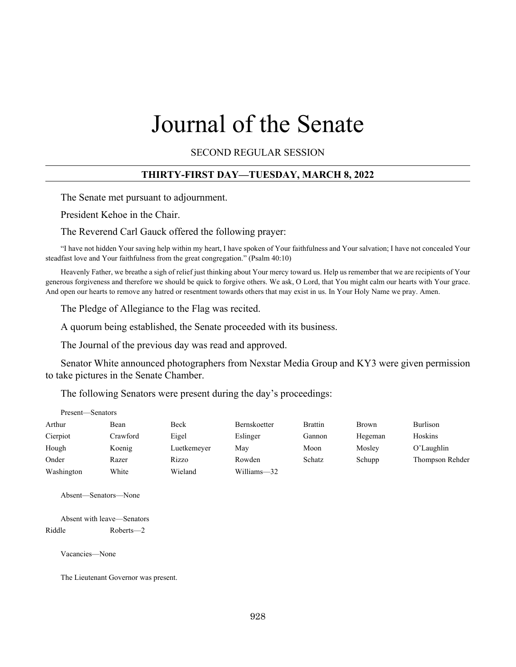# Journal of the Senate

SECOND REGULAR SESSION

### **THIRTY-FIRST DAY—TUESDAY, MARCH 8, 2022**

The Senate met pursuant to adjournment.

President Kehoe in the Chair.

The Reverend Carl Gauck offered the following prayer:

"I have not hidden Your saving help within my heart, I have spoken of Your faithfulness and Your salvation; I have not concealed Your steadfast love and Your faithfulness from the great congregation." (Psalm 40:10)

Heavenly Father, we breathe a sigh of relief just thinking about Your mercy toward us. Help us remember that we are recipients of Your generous forgiveness and therefore we should be quick to forgive others. We ask, O Lord, that You might calm our hearts with Your grace. And open our hearts to remove any hatred or resentment towards others that may exist in us. In Your Holy Name we pray. Amen.

The Pledge of Allegiance to the Flag was recited.

A quorum being established, the Senate proceeded with its business.

The Journal of the previous day was read and approved.

Senator White announced photographers from Nexstar Media Group and KY3 were given permission to take pictures in the Senate Chamber.

The following Senators were present during the day's proceedings:

| Present—Senators |          |             |              |                |              |                 |
|------------------|----------|-------------|--------------|----------------|--------------|-----------------|
| Arthur           | Bean     | Beck        | Bernskoetter | <b>Brattin</b> | <b>Brown</b> | Burlison        |
| Cierpiot         | Crawford | Eigel       | Eslinger     | Gannon         | Hegeman      | Hoskins         |
| Hough            | Koenig   | Luetkemeyer | May          | Moon           | Mosley       | O'Laughlin      |
| Onder            | Razer    | Rizzo       | Rowden       | Schatz         | Schupp       | Thompson Rehder |
| Washington       | White    | Wieland     | Williams-32  |                |              |                 |

Absent—Senators—None

Absent with leave—Senators Riddle Roberts—2

Vacancies—None

The Lieutenant Governor was present.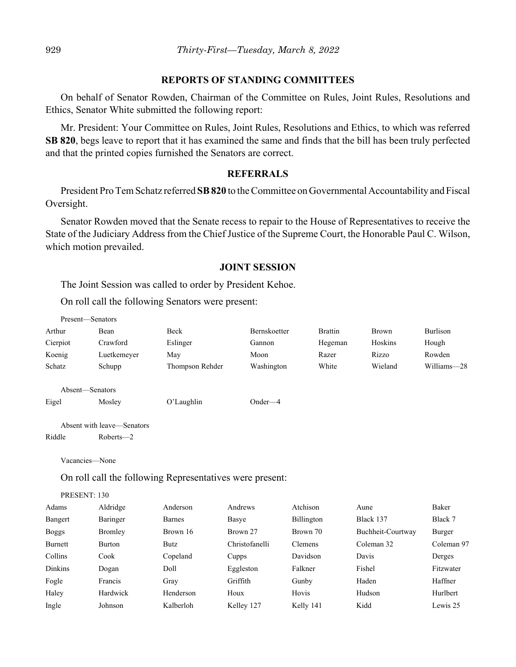#### **REPORTS OF STANDING COMMITTEES**

On behalf of Senator Rowden, Chairman of the Committee on Rules, Joint Rules, Resolutions and Ethics, Senator White submitted the following report:

Mr. President: Your Committee on Rules, Joint Rules, Resolutions and Ethics, to which was referred **SB 820**, begs leave to report that it has examined the same and finds that the bill has been truly perfected and that the printed copies furnished the Senators are correct.

#### **REFERRALS**

President Pro Tem Schatz referred **SB 820** to the Committee on Governmental Accountability and Fiscal Oversight.

Senator Rowden moved that the Senate recess to repair to the House of Representatives to receive the State of the Judiciary Address from the Chief Justice of the Supreme Court, the Honorable Paul C. Wilson, which motion prevailed.

#### **JOINT SESSION**

The Joint Session was called to order by President Kehoe.

On roll call the following Senators were present:

|          | Present—Senators           |                 |              |                |              |             |
|----------|----------------------------|-----------------|--------------|----------------|--------------|-------------|
| Arthur   | Bean                       | Beck            | Bernskoetter | <b>Brattin</b> | <b>Brown</b> | Burlison    |
| Cierpiot | Crawford                   | Eslinger        | Gannon       | Hegeman        | Hoskins      | Hough       |
| Koenig   | Luetkemeyer                | May             | Moon         | Razer          | Rizzo        | Rowden      |
| Schatz   | Schupp                     | Thompson Rehder | Washington   | White          | Wieland      | Williams-28 |
|          | Absent—Senators            |                 |              |                |              |             |
| Eigel    | Mosley                     | O'Laughlin      | $Onder-4$    |                |              |             |
|          | Absent with leave—Senators |                 |              |                |              |             |
| Riddle   | $Roberts - 2$              |                 |              |                |              |             |

Vacancies—None

On roll call the following Representatives were present:

PRESENT: 130

| Adams          | Aldridge | Anderson  | Andrews        | Atchison       | Aune              | Baker      |
|----------------|----------|-----------|----------------|----------------|-------------------|------------|
| Bangert        | Baringer | Barnes    | Basye          | Billington     | Black 137         | Black 7    |
| <b>Boggs</b>   | Bromley  | Brown 16  | Brown 27       | Brown 70       | Buchheit-Courtway | Burger     |
| Burnett        | Burton   | Butz      | Christofanelli | <b>Clemens</b> | Coleman 32        | Coleman 97 |
| Collins        | Cook     | Copeland  | Cupps          | Davidson       | Davis             | Derges     |
| <b>Dinkins</b> | Dogan    | Doll      | Eggleston      | Falkner        | Fishel            | Fitzwater  |
| Fogle          | Francis  | Gray      | Griffith       | Gunby          | Haden             | Haffner    |
| Haley          | Hardwick | Henderson | Houx           | Hovis          | Hudson            | Hurlbert   |
| Ingle          | Johnson  | Kalberloh | Kelley 127     | Kelly 141      | Kidd              | Lewis 25   |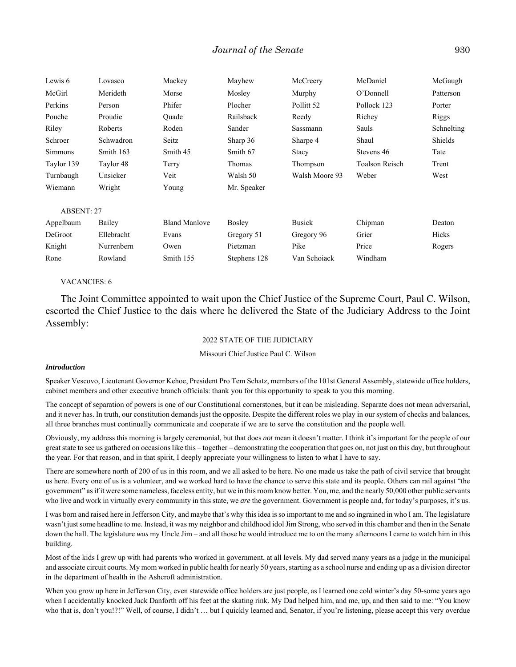| Lewis 6           | Lovasco    | Mackey               | Mayhew        | McCreery       | McDaniel              | McGaugh    |
|-------------------|------------|----------------------|---------------|----------------|-----------------------|------------|
| McGirl            | Merideth   | Morse                | Mosley        | Murphy         | O'Donnell             | Patterson  |
| Perkins           | Person     | Phifer               | Plocher       | Pollitt 52     | Pollock 123           | Porter     |
| Pouche            | Proudie    | Ouade                | Railsback     | Reedy          | Richey                | Riggs      |
| Riley             | Roberts    | Roden                | Sander        | Sassmann       | Sauls                 | Schnelting |
| Schroer           | Schwadron  | Seitz                | Sharp 36      | Sharpe 4       | Shaul                 | Shields    |
| <b>Simmons</b>    | Smith 163  | Smith 45             | Smith 67      | Stacy          | Stevens 46            | Tate       |
| Taylor 139        | Taylor 48  | Terry                | Thomas        | Thompson       | <b>Toalson Reisch</b> | Trent      |
| Turnbaugh         | Unsicker   | Veit                 | Walsh 50      | Walsh Moore 93 | Weber                 | West       |
| Wiemann           | Wright     | Young                | Mr. Speaker   |                |                       |            |
| <b>ABSENT: 27</b> |            |                      |               |                |                       |            |
| Appelbaum         | Bailey     | <b>Bland Manlove</b> | <b>Bosley</b> | <b>Busick</b>  | Chipman               | Deaton     |
| DeGroot           | Ellebracht | Evans                | Gregory 51    | Gregory 96     | Grier                 | Hicks      |
| Knight            | Nurrenbern | Owen                 | Pietzman      | Pike           | Price                 | Rogers     |
| Rone              | Rowland    | Smith 155            | Stephens 128  | Van Schoiack   | Windham               |            |

#### VACANCIES: 6

The Joint Committee appointed to wait upon the Chief Justice of the Supreme Court, Paul C. Wilson, escorted the Chief Justice to the dais where he delivered the State of the Judiciary Address to the Joint Assembly:

#### 2022 STATE OF THE JUDICIARY

#### Missouri Chief Justice Paul C. Wilson

#### *Introduction*

Speaker Vescovo, Lieutenant Governor Kehoe, President Pro Tem Schatz, members of the 101st General Assembly, statewide office holders, cabinet members and other executive branch officials: thank you for this opportunity to speak to you this morning.

The concept of separation of powers is one of our Constitutional cornerstones, but it can be misleading. Separate does not mean adversarial, and it never has. In truth, our constitution demands just the opposite. Despite the different roles we play in our system of checks and balances, all three branches must continually communicate and cooperate if we are to serve the constitution and the people well.

Obviously, my address this morning is largely ceremonial, but that does *not* mean it doesn't matter. I think it's important for the people of our great state to see us gathered on occasions like this – together – demonstrating the cooperation that goes on, not just on this day, but throughout the year. For that reason, and in that spirit, I deeply appreciate your willingness to listen to what I have to say.

There are somewhere north of 200 of us in this room, and we all asked to be here. No one made us take the path of civil service that brought us here. Every one of us is a volunteer, and we worked hard to have the chance to serve this state and its people. Others can rail against "the government" as if it were some nameless, faceless entity, but we in this room know better. You, me, and the nearly 50,000 other public servants who live and work in virtually every community in this state, we *are* the government. Government is people and, for today's purposes, it's us.

I was born and raised here in Jefferson City, and maybe that's why this idea is so important to me and so ingrained in who I am. The legislature wasn't just some headline to me. Instead, it was my neighbor and childhood idol Jim Strong, who served in this chamber and then in the Senate down the hall. The legislature *was* my Uncle Jim – and all those he would introduce me to on the many afternoons I came to watch him in this building.

Most of the kids I grew up with had parents who worked in government, at all levels. My dad served many years as a judge in the municipal and associate circuit courts. My mom worked in public health for nearly 50 years, starting as a school nurse and ending up as a division director in the department of health in the Ashcroft administration.

When you grow up here in Jefferson City, even statewide office holders are just people, as I learned one cold winter's day 50-some years ago when I accidentally knocked Jack Danforth off his feet at the skating rink. My Dad helped him, and me, up, and then said to me: "You know who that is, don't you!?!" Well, of course, I didn't ... but I quickly learned and, Senator, if you're listening, please accept this very overdue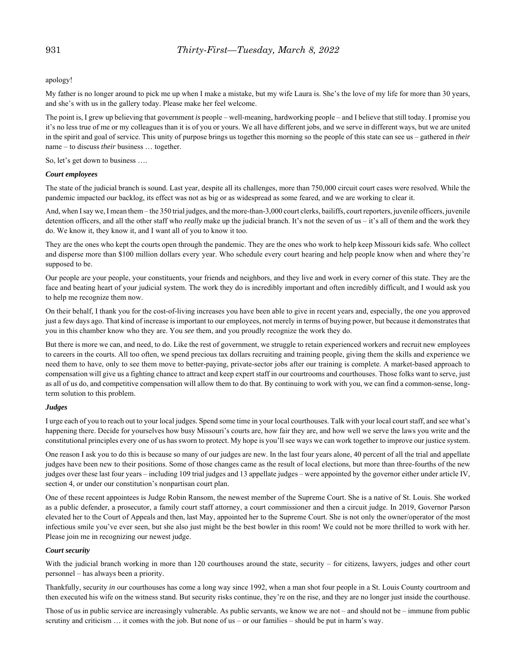apology!

My father is no longer around to pick me up when I make a mistake, but my wife Laura is. She's the love of my life for more than 30 years, and she's with us in the gallery today. Please make her feel welcome.

The point is, I grew up believing that government *is* people – well-meaning, hardworking people – and I believe that still today. I promise you it's no less true of me or my colleagues than it is of you or yours. We all have different jobs, and we serve in different ways, but we are united in the spirit and goal of service. This unity of purpose brings us together this morning so the people of this state can see us – gathered in *their* name – to discuss *their* business … together.

So, let's get down to business ….

#### *Court employees*

The state of the judicial branch is sound. Last year, despite all its challenges, more than 750,000 circuit court cases were resolved. While the pandemic impacted our backlog, its effect was not as big or as widespread as some feared, and we are working to clear it.

And, when I say we, I mean them – the 350 trial judges, and the more-than-3,000 court clerks, bailiffs, court reporters, juvenile officers, juvenile detention officers, and all the other staff who *really* make up the judicial branch. It's not the seven of us – it's all of them and the work they do. We know it, they know it, and I want all of you to know it too.

They are the ones who kept the courts open through the pandemic. They are the ones who work to help keep Missouri kids safe. Who collect and disperse more than \$100 million dollars every year. Who schedule every court hearing and help people know when and where they're supposed to be.

Our people are your people, your constituents, your friends and neighbors, and they live and work in every corner of this state. They are the face and beating heart of your judicial system. The work they do is incredibly important and often incredibly difficult, and I would ask you to help me recognize them now.

On their behalf, I thank you for the cost-of-living increases you have been able to give in recent years and, especially, the one you approved just a few days ago. That kind of increase is important to our employees, not merely in terms of buying power, but because it demonstrates that you in this chamber know who they are. You *see* them, and you proudly recognize the work they do.

But there is more we can, and need, to do. Like the rest of government, we struggle to retain experienced workers and recruit new employees to careers in the courts. All too often, we spend precious tax dollars recruiting and training people, giving them the skills and experience we need them to have, only to see them move to better-paying, private-sector jobs after our training is complete. A market-based approach to compensation will give us a fighting chance to attract and keep expert staff in our courtrooms and courthouses. Those folks want to serve, just as all of us do, and competitive compensation will allow them to do that. By continuing to work with you, we can find a common-sense, longterm solution to this problem.

#### *Judges*

I urge each of you to reach out to your local judges. Spend some time in your local courthouses. Talk with your local court staff, and see what's happening there. Decide for yourselves how busy Missouri's courts are, how fair they are, and how well we serve the laws you write and the constitutional principles every one of us has sworn to protect. My hope is you'll see ways we can work together to improve our justice system.

One reason I ask you to do this is because so many of our judges are new. In the last four years alone, 40 percent of all the trial and appellate judges have been new to their positions. Some of those changes came as the result of local elections, but more than three-fourths of the new judges over these last four years – including 109 trial judges and 13 appellate judges – were appointed by the governor either under article IV, section 4, or under our constitution's nonpartisan court plan.

One of these recent appointees is Judge Robin Ransom, the newest member of the Supreme Court. She is a native of St. Louis. She worked as a public defender, a prosecutor, a family court staff attorney, a court commissioner and then a circuit judge. In 2019, Governor Parson elevated her to the Court of Appeals and then, last May, appointed her to the Supreme Court. She is not only the owner/operator of the most infectious smile you've ever seen, but she also just might be the best bowler in this room! We could not be more thrilled to work with her. Please join me in recognizing our newest judge.

#### *Court security*

With the judicial branch working in more than 120 courthouses around the state, security – for citizens, lawyers, judges and other court personnel – has always been a priority.

Thankfully, security *in* our courthouses has come a long way since 1992, when a man shot four people in a St. Louis County courtroom and then executed his wife on the witness stand. But security risks continue, they're on the rise, and they are no longer just inside the courthouse.

Those of us in public service are increasingly vulnerable. As public servants, we know we are not – and should not be – immune from public scrutiny and criticism … it comes with the job. But none of us – or our families – should be put in harm's way.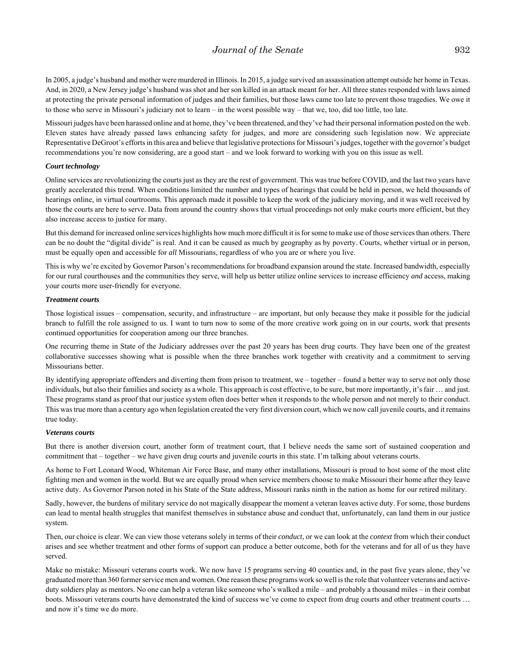#### *Journal of the Senate* 932

In 2005, a judge's husband and mother were murdered in Illinois. In 2015, a judge survived an assassination attempt outside her home in Texas. And, in 2020, a New Jersey judge's husband was shot and her son killed in an attack meant for her. All three states responded with laws aimed at protecting the private personal information of judges and their families, but those laws came too late to prevent those tragedies. We owe it to those who serve in Missouri's judiciary not to learn – in the worst possible way – that we, too, did too little, too late.

Missouri judges have been harassed online and at home, they've been threatened, and they've had their personal information posted on the web. Eleven states have already passed laws enhancing safety for judges, and more are considering such legislation now. We appreciate Representative DeGroot's efforts in this area and believe that legislative protections for Missouri's judges, together with the governor's budget recommendations you're now considering, are a good start – and we look forward to working with you on this issue as well.

#### *Court technology*

Online services are revolutionizing the courts just as they are the rest of government. This was true before COVID, and the last two years have greatly accelerated this trend. When conditions limited the number and types of hearings that could be held in person, we held thousands of hearings online, in virtual courtrooms. This approach made it possible to keep the work of the judiciary moving, and it was well received by those the courts are here to serve. Data from around the country shows that virtual proceedings not only make courts more efficient, but they also increase access to justice for many.

But this demand for increased online services highlights how much more difficult it is for some to make use of those services than others. There can be no doubt the "digital divide" is real. And it can be caused as much by geography as by poverty. Courts, whether virtual or in person, must be equally open and accessible for *all* Missourians, regardless of who you are or where you live.

This is why we're excited by Governor Parson's recommendations for broadband expansion around the state. Increased bandwidth, especially for our rural courthouses and the communities they serve, will help us better utilize online services to increase efficiency *and* access, making your courts more user-friendly for everyone.

#### *Treatment courts*

Those logistical issues – compensation, security, and infrastructure – are important, but only because they make it possible for the judicial branch to fulfill the role assigned to us. I want to turn now to some of the more creative work going on in our courts, work that presents continued opportunities for cooperation among our three branches.

One recurring theme in State of the Judiciary addresses over the past 20 years has been drug courts. They have been one of the greatest collaborative successes showing what is possible when the three branches work together with creativity and a commitment to serving Missourians better.

By identifying appropriate offenders and diverting them from prison to treatment, we – together – found a better way to serve not only those individuals, but also their families and society as a whole. This approach is cost effective, to be sure, but more importantly, it's fair … and just. These programs stand as proof that our justice system often does better when it responds to the whole person and not merely to their conduct. This was true more than a century ago when legislation created the very first diversion court, which we now call juvenile courts, and it remains true today.

#### *Veterans courts*

But there is another diversion court, another form of treatment court, that I believe needs the same sort of sustained cooperation and commitment that – together – we have given drug courts and juvenile courts in this state. I'm talking about veterans courts.

As home to Fort Leonard Wood, Whiteman Air Force Base, and many other installations, Missouri is proud to host some of the most elite fighting men and women in the world. But we are equally proud when service members choose to make Missouri their home after they leave active duty. As Governor Parson noted in his State of the State address, Missouri ranks ninth in the nation as home for our retired military.

Sadly, however, the burdens of military service do not magically disappear the moment a veteran leaves active duty. For some, those burdens can lead to mental health struggles that manifest themselves in substance abuse and conduct that, unfortunately, can land them in our justice system.

Then, our choice is clear. We can view those veterans solely in terms of their *conduct*, or we can look at the *context* from which their conduct arises and see whether treatment and other forms of support can produce a better outcome, both for the veterans and for all of us they have served.

Make no mistake: Missouri veterans courts work. We now have 15 programs serving 40 counties and, in the past five years alone, they've graduated more than 360 former service men and women. One reason these programs work so well is the role that volunteer veterans and activeduty soldiers play as mentors. No one can help a veteran like someone who's walked a mile – and probably a thousand miles – in their combat boots. Missouri veterans courts have demonstrated the kind of success we've come to expect from drug courts and other treatment courts ... and now it's time we do more.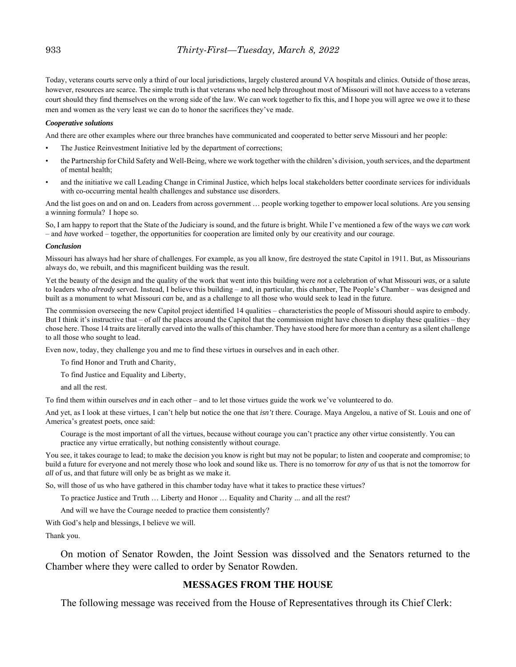Today, veterans courts serve only a third of our local jurisdictions, largely clustered around VA hospitals and clinics. Outside of those areas, however, resources are scarce. The simple truth is that veterans who need help throughout most of Missouri will not have access to a veterans court should they find themselves on the wrong side of the law. We can work together to fix this, and I hope you will agree we owe it to these men and women as the very least we can do to honor the sacrifices they've made.

#### *Cooperative solutions*

And there are other examples where our three branches have communicated and cooperated to better serve Missouri and her people:

- The Justice Reinvestment Initiative led by the department of corrections;
- the Partnership for Child Safety and Well-Being, where we work together with the children's division, youth services, and the department of mental health;
- and the initiative we call Leading Change in Criminal Justice, which helps local stakeholders better coordinate services for individuals with co-occurring mental health challenges and substance use disorders.

And the list goes on and on and on. Leaders from across government … people working together to empower local solutions. Are you sensing a winning formula? I hope so.

So, I am happy to report that the State of the Judiciary is sound, and the future is bright. While I've mentioned a few of the ways we *can* work – and *have* worked – together, the opportunities for cooperation are limited only by our creativity and our courage.

#### *Conclusion*

Missouri has always had her share of challenges. For example, as you all know, fire destroyed the state Capitol in 1911. But, as Missourians always do, we rebuilt, and this magnificent building was the result.

Yet the beauty of the design and the quality of the work that went into this building were *not* a celebration of what Missouri *was*, or a salute to leaders who *already* served. Instead, I believe this building – and, in particular, this chamber, The People's Chamber – was designed and built as a monument to what Missouri *can* be, and as a challenge to all those who would seek to lead in the future.

The commission overseeing the new Capitol project identified 14 qualities – characteristics the people of Missouri should aspire to embody. But I think it's instructive that – of *all* the places around the Capitol that the commission might have chosen to display these qualities – they chose here. Those 14 traits are literally carved into the walls of this chamber. They have stood here for more than a century as a silent challenge to all those who sought to lead.

Even now, today, they challenge you and me to find these virtues in ourselves and in each other.

To find Honor and Truth and Charity,

To find Justice and Equality and Liberty,

and all the rest.

To find them within ourselves *and* in each other – and to let those virtues guide the work we've volunteered to do.

And yet, as I look at these virtues, I can't help but notice the one that *isn't* there. Courage. Maya Angelou, a native of St. Louis and one of America's greatest poets, once said:

Courage is the most important of all the virtues, because without courage you can't practice any other virtue consistently. You can practice any virtue erratically, but nothing consistently without courage.

You see, it takes courage to lead; to make the decision you know is right but may not be popular; to listen and cooperate and compromise; to build a future for everyone and not merely those who look and sound like us. There is no tomorrow for *any* of us that is not the tomorrow for *all* of us, and that future will only be as bright as we make it.

So, will those of us who have gathered in this chamber today have what it takes to practice these virtues?

To practice Justice and Truth … Liberty and Honor … Equality and Charity ... and all the rest?

And will we have the Courage needed to practice them consistently?

With God's help and blessings, I believe we will.

Thank you.

On motion of Senator Rowden, the Joint Session was dissolved and the Senators returned to the Chamber where they were called to order by Senator Rowden.

#### **MESSAGES FROM THE HOUSE**

The following message was received from the House of Representatives through its Chief Clerk: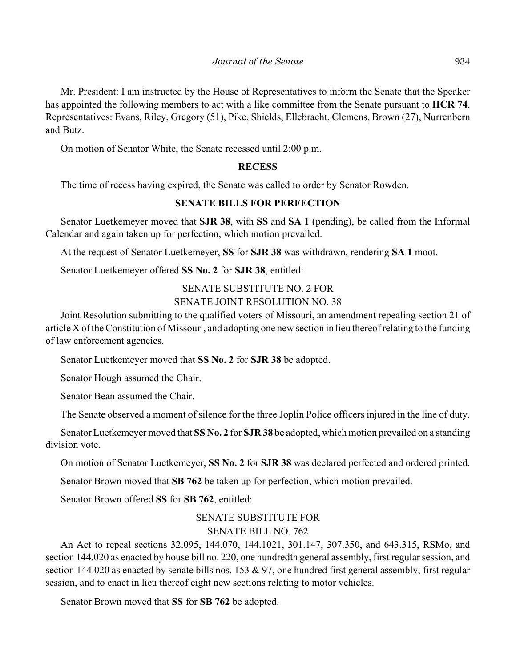Mr. President: I am instructed by the House of Representatives to inform the Senate that the Speaker has appointed the following members to act with a like committee from the Senate pursuant to **HCR 74**. Representatives: Evans, Riley, Gregory (51), Pike, Shields, Ellebracht, Clemens, Brown (27), Nurrenbern and Butz.

On motion of Senator White, the Senate recessed until 2:00 p.m.

#### **RECESS**

The time of recess having expired, the Senate was called to order by Senator Rowden.

#### **SENATE BILLS FOR PERFECTION**

Senator Luetkemeyer moved that **SJR 38**, with **SS** and **SA 1** (pending), be called from the Informal Calendar and again taken up for perfection, which motion prevailed.

At the request of Senator Luetkemeyer, **SS** for **SJR 38** was withdrawn, rendering **SA 1** moot.

Senator Luetkemeyer offered **SS No. 2** for **SJR 38**, entitled:

# SENATE SUBSTITUTE NO. 2 FOR SENATE JOINT RESOLUTION NO. 38

Joint Resolution submitting to the qualified voters of Missouri, an amendment repealing section 21 of article X of the Constitution of Missouri, and adopting one new section in lieu thereof relating to the funding of law enforcement agencies.

Senator Luetkemeyer moved that **SS No. 2** for **SJR 38** be adopted.

Senator Hough assumed the Chair.

Senator Bean assumed the Chair.

The Senate observed a moment of silence for the three Joplin Police officers injured in the line of duty.

Senator Luetkemeyer moved that **SS No. 2** for **SJR 38** be adopted, which motion prevailed on a standing division vote.

On motion of Senator Luetkemeyer, **SS No. 2** for **SJR 38** was declared perfected and ordered printed.

Senator Brown moved that **SB 762** be taken up for perfection, which motion prevailed.

Senator Brown offered **SS** for **SB 762**, entitled:

# SENATE SUBSTITUTE FOR SENATE BILL NO. 762

An Act to repeal sections 32.095, 144.070, 144.1021, 301.147, 307.350, and 643.315, RSMo, and section 144.020 as enacted by house bill no. 220, one hundredth general assembly, first regular session, and section 144.020 as enacted by senate bills nos. 153  $\&$  97, one hundred first general assembly, first regular session, and to enact in lieu thereof eight new sections relating to motor vehicles.

Senator Brown moved that **SS** for **SB 762** be adopted.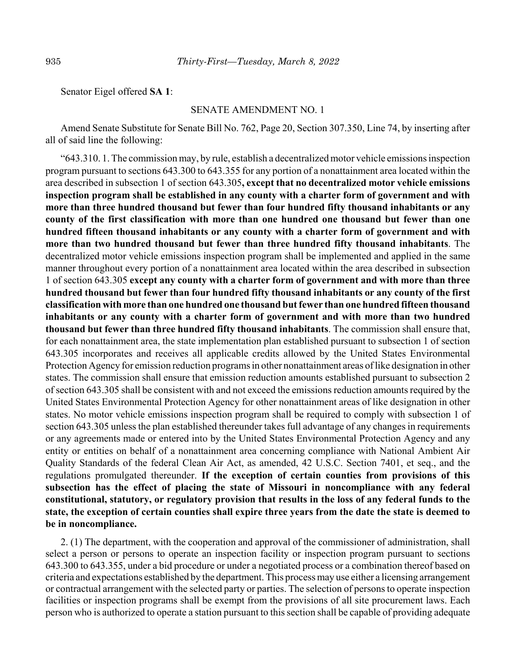Senator Eigel offered **SA 1**:

#### SENATE AMENDMENT NO. 1

Amend Senate Substitute for Senate Bill No. 762, Page 20, Section 307.350, Line 74, by inserting after all of said line the following:

"643.310. 1. The commission may, by rule, establish a decentralized motor vehicle emissions inspection program pursuant to sections 643.300 to 643.355 for any portion of a nonattainment area located within the area described in subsection 1 of section 643.305**, except that no decentralized motor vehicle emissions inspection program shall be established in any county with a charter form of government and with more than three hundred thousand but fewer than four hundred fifty thousand inhabitants or any county of the first classification with more than one hundred one thousand but fewer than one hundred fifteen thousand inhabitants or any county with a charter form of government and with more than two hundred thousand but fewer than three hundred fifty thousand inhabitants**. The decentralized motor vehicle emissions inspection program shall be implemented and applied in the same manner throughout every portion of a nonattainment area located within the area described in subsection 1 of section 643.305 **except any county with a charter form of government and with more than three hundred thousand but fewer than four hundred fifty thousand inhabitants or any county of the first classification with more than one hundred one thousand but fewer than one hundred fifteen thousand inhabitants or any county with a charter form of government and with more than two hundred thousand but fewer than three hundred fifty thousand inhabitants**. The commission shall ensure that, for each nonattainment area, the state implementation plan established pursuant to subsection 1 of section 643.305 incorporates and receives all applicable credits allowed by the United States Environmental Protection Agency for emission reduction programs in other nonattainment areas of like designation in other states. The commission shall ensure that emission reduction amounts established pursuant to subsection 2 of section 643.305 shall be consistent with and not exceed the emissions reduction amounts required by the United States Environmental Protection Agency for other nonattainment areas of like designation in other states. No motor vehicle emissions inspection program shall be required to comply with subsection 1 of section 643.305 unless the plan established thereunder takes full advantage of any changes in requirements or any agreements made or entered into by the United States Environmental Protection Agency and any entity or entities on behalf of a nonattainment area concerning compliance with National Ambient Air Quality Standards of the federal Clean Air Act, as amended, 42 U.S.C. Section 7401, et seq., and the regulations promulgated thereunder. **If the exception of certain counties from provisions of this subsection has the effect of placing the state of Missouri in noncompliance with any federal constitutional, statutory, or regulatory provision that results in the loss of any federal funds to the state, the exception of certain counties shall expire three years from the date the state is deemed to be in noncompliance.**

2. (1) The department, with the cooperation and approval of the commissioner of administration, shall select a person or persons to operate an inspection facility or inspection program pursuant to sections 643.300 to 643.355, under a bid procedure or under a negotiated process or a combination thereof based on criteria and expectations established by the department. This process may use either a licensing arrangement or contractual arrangement with the selected party or parties. The selection of persons to operate inspection facilities or inspection programs shall be exempt from the provisions of all site procurement laws. Each person who is authorized to operate a station pursuant to this section shall be capable of providing adequate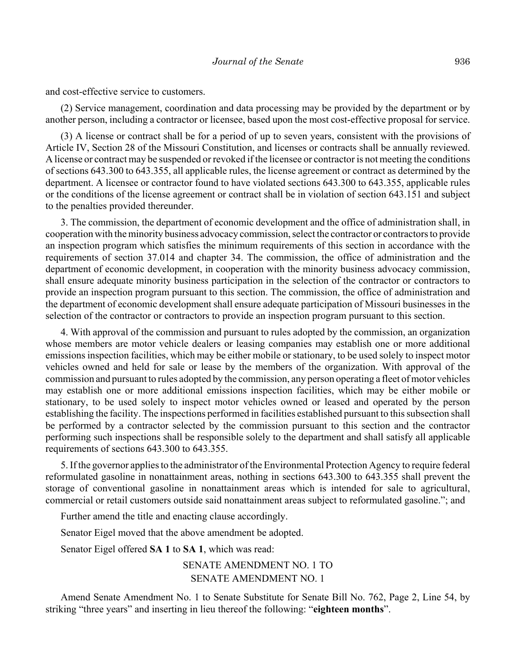and cost-effective service to customers.

(2) Service management, coordination and data processing may be provided by the department or by another person, including a contractor or licensee, based upon the most cost-effective proposal for service.

(3) A license or contract shall be for a period of up to seven years, consistent with the provisions of Article IV, Section 28 of the Missouri Constitution, and licenses or contracts shall be annually reviewed. A license or contract may be suspended or revoked if the licensee or contractor is not meeting the conditions of sections 643.300 to 643.355, all applicable rules, the license agreement or contract as determined by the department. A licensee or contractor found to have violated sections 643.300 to 643.355, applicable rules or the conditions of the license agreement or contract shall be in violation of section 643.151 and subject to the penalties provided thereunder.

3. The commission, the department of economic development and the office of administration shall, in cooperation with the minority business advocacy commission, select the contractor or contractors to provide an inspection program which satisfies the minimum requirements of this section in accordance with the requirements of section 37.014 and chapter 34. The commission, the office of administration and the department of economic development, in cooperation with the minority business advocacy commission, shall ensure adequate minority business participation in the selection of the contractor or contractors to provide an inspection program pursuant to this section. The commission, the office of administration and the department of economic development shall ensure adequate participation of Missouri businesses in the selection of the contractor or contractors to provide an inspection program pursuant to this section.

4. With approval of the commission and pursuant to rules adopted by the commission, an organization whose members are motor vehicle dealers or leasing companies may establish one or more additional emissions inspection facilities, which may be either mobile or stationary, to be used solely to inspect motor vehicles owned and held for sale or lease by the members of the organization. With approval of the commission and pursuant to rules adopted by the commission, any person operating a fleet of motor vehicles may establish one or more additional emissions inspection facilities, which may be either mobile or stationary, to be used solely to inspect motor vehicles owned or leased and operated by the person establishing the facility. The inspections performed in facilities established pursuant to this subsection shall be performed by a contractor selected by the commission pursuant to this section and the contractor performing such inspections shall be responsible solely to the department and shall satisfy all applicable requirements of sections 643.300 to 643.355.

5. If the governor applies to the administrator of the Environmental Protection Agency to require federal reformulated gasoline in nonattainment areas, nothing in sections 643.300 to 643.355 shall prevent the storage of conventional gasoline in nonattainment areas which is intended for sale to agricultural, commercial or retail customers outside said nonattainment areas subject to reformulated gasoline."; and

Further amend the title and enacting clause accordingly.

Senator Eigel moved that the above amendment be adopted.

Senator Eigel offered **SA 1** to **SA 1**, which was read:

SENATE AMENDMENT NO. 1 TO SENATE AMENDMENT NO. 1

Amend Senate Amendment No. 1 to Senate Substitute for Senate Bill No. 762, Page 2, Line 54, by striking "three years" and inserting in lieu thereof the following: "**eighteen months**".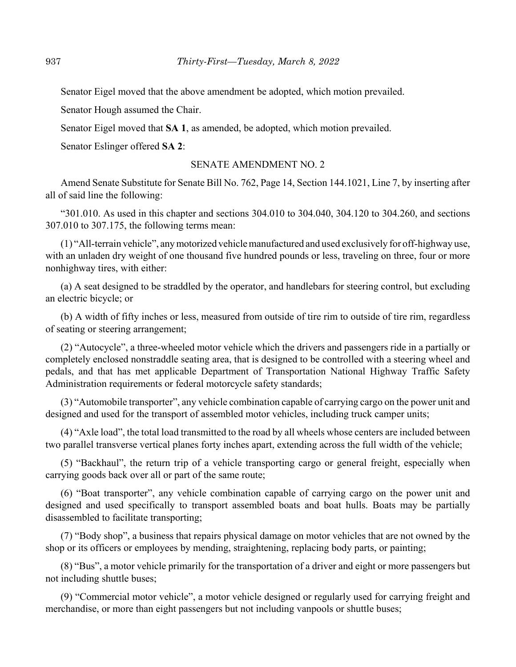Senator Eigel moved that the above amendment be adopted, which motion prevailed.

Senator Hough assumed the Chair.

Senator Eigel moved that **SA 1**, as amended, be adopted, which motion prevailed.

Senator Eslinger offered **SA 2**:

#### SENATE AMENDMENT NO. 2

Amend Senate Substitute for Senate Bill No. 762, Page 14, Section 144.1021, Line 7, by inserting after all of said line the following:

"301.010. As used in this chapter and sections 304.010 to 304.040, 304.120 to 304.260, and sections 307.010 to 307.175, the following terms mean:

(1) "All-terrain vehicle", any motorized vehicle manufactured and used exclusively for off-highway use, with an unladen dry weight of one thousand five hundred pounds or less, traveling on three, four or more nonhighway tires, with either:

(a) A seat designed to be straddled by the operator, and handlebars for steering control, but excluding an electric bicycle; or

(b) A width of fifty inches or less, measured from outside of tire rim to outside of tire rim, regardless of seating or steering arrangement;

(2) "Autocycle", a three-wheeled motor vehicle which the drivers and passengers ride in a partially or completely enclosed nonstraddle seating area, that is designed to be controlled with a steering wheel and pedals, and that has met applicable Department of Transportation National Highway Traffic Safety Administration requirements or federal motorcycle safety standards;

(3) "Automobile transporter", any vehicle combination capable of carrying cargo on the power unit and designed and used for the transport of assembled motor vehicles, including truck camper units;

(4) "Axle load", the total load transmitted to the road by all wheels whose centers are included between two parallel transverse vertical planes forty inches apart, extending across the full width of the vehicle;

(5) "Backhaul", the return trip of a vehicle transporting cargo or general freight, especially when carrying goods back over all or part of the same route;

(6) "Boat transporter", any vehicle combination capable of carrying cargo on the power unit and designed and used specifically to transport assembled boats and boat hulls. Boats may be partially disassembled to facilitate transporting;

(7) "Body shop", a business that repairs physical damage on motor vehicles that are not owned by the shop or its officers or employees by mending, straightening, replacing body parts, or painting;

(8) "Bus", a motor vehicle primarily for the transportation of a driver and eight or more passengers but not including shuttle buses;

(9) "Commercial motor vehicle", a motor vehicle designed or regularly used for carrying freight and merchandise, or more than eight passengers but not including vanpools or shuttle buses;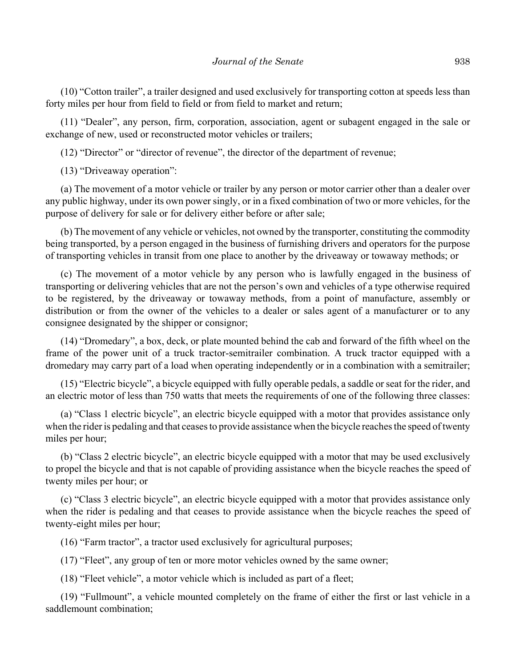(10) "Cotton trailer", a trailer designed and used exclusively for transporting cotton at speeds less than forty miles per hour from field to field or from field to market and return;

(11) "Dealer", any person, firm, corporation, association, agent or subagent engaged in the sale or exchange of new, used or reconstructed motor vehicles or trailers;

(12) "Director" or "director of revenue", the director of the department of revenue;

(13) "Driveaway operation":

(a) The movement of a motor vehicle or trailer by any person or motor carrier other than a dealer over any public highway, under its own power singly, or in a fixed combination of two or more vehicles, for the purpose of delivery for sale or for delivery either before or after sale;

(b) The movement of any vehicle or vehicles, not owned by the transporter, constituting the commodity being transported, by a person engaged in the business of furnishing drivers and operators for the purpose of transporting vehicles in transit from one place to another by the driveaway or towaway methods; or

(c) The movement of a motor vehicle by any person who is lawfully engaged in the business of transporting or delivering vehicles that are not the person's own and vehicles of a type otherwise required to be registered, by the driveaway or towaway methods, from a point of manufacture, assembly or distribution or from the owner of the vehicles to a dealer or sales agent of a manufacturer or to any consignee designated by the shipper or consignor;

(14) "Dromedary", a box, deck, or plate mounted behind the cab and forward of the fifth wheel on the frame of the power unit of a truck tractor-semitrailer combination. A truck tractor equipped with a dromedary may carry part of a load when operating independently or in a combination with a semitrailer;

(15) "Electric bicycle", a bicycle equipped with fully operable pedals, a saddle or seat for the rider, and an electric motor of less than 750 watts that meets the requirements of one of the following three classes:

(a) "Class 1 electric bicycle", an electric bicycle equipped with a motor that provides assistance only when the rider is pedaling and that ceases to provide assistance when the bicycle reaches the speed of twenty miles per hour;

(b) "Class 2 electric bicycle", an electric bicycle equipped with a motor that may be used exclusively to propel the bicycle and that is not capable of providing assistance when the bicycle reaches the speed of twenty miles per hour; or

(c) "Class 3 electric bicycle", an electric bicycle equipped with a motor that provides assistance only when the rider is pedaling and that ceases to provide assistance when the bicycle reaches the speed of twenty-eight miles per hour;

(16) "Farm tractor", a tractor used exclusively for agricultural purposes;

(17) "Fleet", any group of ten or more motor vehicles owned by the same owner;

(18) "Fleet vehicle", a motor vehicle which is included as part of a fleet;

(19) "Fullmount", a vehicle mounted completely on the frame of either the first or last vehicle in a saddlemount combination;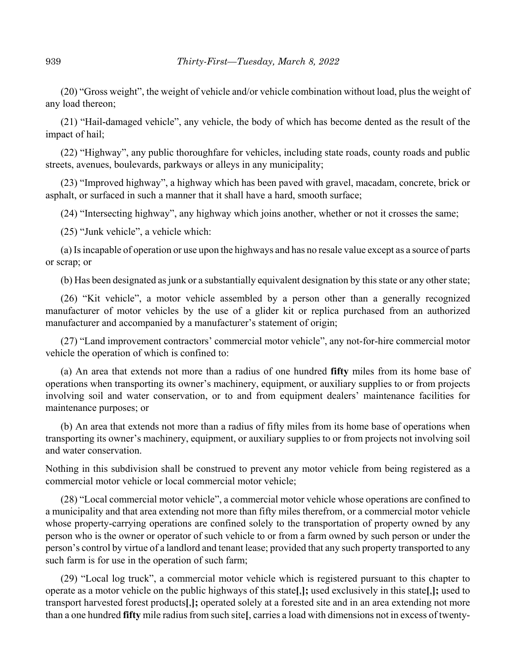(20) "Gross weight", the weight of vehicle and/or vehicle combination without load, plus the weight of any load thereon;

(21) "Hail-damaged vehicle", any vehicle, the body of which has become dented as the result of the impact of hail;

(22) "Highway", any public thoroughfare for vehicles, including state roads, county roads and public streets, avenues, boulevards, parkways or alleys in any municipality;

(23) "Improved highway", a highway which has been paved with gravel, macadam, concrete, brick or asphalt, or surfaced in such a manner that it shall have a hard, smooth surface;

(24) "Intersecting highway", any highway which joins another, whether or not it crosses the same;

(25) "Junk vehicle", a vehicle which:

(a) Is incapable of operation or use upon the highways and has no resale value except as a source of parts or scrap; or

(b) Has been designated as junk or a substantially equivalent designation by this state or any other state;

(26) "Kit vehicle", a motor vehicle assembled by a person other than a generally recognized manufacturer of motor vehicles by the use of a glider kit or replica purchased from an authorized manufacturer and accompanied by a manufacturer's statement of origin;

(27) "Land improvement contractors' commercial motor vehicle", any not-for-hire commercial motor vehicle the operation of which is confined to:

(a) An area that extends not more than a radius of one hundred **fifty** miles from its home base of operations when transporting its owner's machinery, equipment, or auxiliary supplies to or from projects involving soil and water conservation, or to and from equipment dealers' maintenance facilities for maintenance purposes; or

(b) An area that extends not more than a radius of fifty miles from its home base of operations when transporting its owner's machinery, equipment, or auxiliary supplies to or from projects not involving soil and water conservation.

Nothing in this subdivision shall be construed to prevent any motor vehicle from being registered as a commercial motor vehicle or local commercial motor vehicle;

(28) "Local commercial motor vehicle", a commercial motor vehicle whose operations are confined to a municipality and that area extending not more than fifty miles therefrom, or a commercial motor vehicle whose property-carrying operations are confined solely to the transportation of property owned by any person who is the owner or operator of such vehicle to or from a farm owned by such person or under the person's control by virtue of a landlord and tenant lease; provided that any such property transported to any such farm is for use in the operation of such farm;

(29) "Local log truck", a commercial motor vehicle which is registered pursuant to this chapter to operate as a motor vehicle on the public highways of this state**[**,**];** used exclusively in this state**[**,**];** used to transport harvested forest products**[**,**];** operated solely at a forested site and in an area extending not more than a one hundred **fifty** mile radius from such site**[**, carries a load with dimensions not in excess of twenty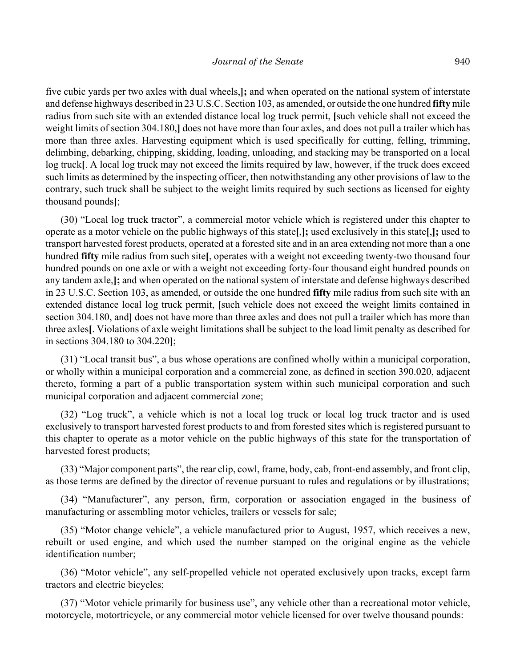five cubic yards per two axles with dual wheels,**];** and when operated on the national system of interstate and defense highways described in 23 U.S.C. Section 103, as amended, or outside the one hundred **fifty** mile radius from such site with an extended distance local log truck permit, **[**such vehicle shall not exceed the weight limits of section 304.180,**]** does not have more than four axles, and does not pull a trailer which has more than three axles. Harvesting equipment which is used specifically for cutting, felling, trimming, delimbing, debarking, chipping, skidding, loading, unloading, and stacking may be transported on a local log truck**[**. A local log truck may not exceed the limits required by law, however, if the truck does exceed such limits as determined by the inspecting officer, then notwithstanding any other provisions of law to the contrary, such truck shall be subject to the weight limits required by such sections as licensed for eighty thousand pounds**]**;

(30) "Local log truck tractor", a commercial motor vehicle which is registered under this chapter to operate as a motor vehicle on the public highways of this state**[**,**];** used exclusively in this state**[**,**];** used to transport harvested forest products, operated at a forested site and in an area extending not more than a one hundred **fifty** mile radius from such site**[**, operates with a weight not exceeding twenty-two thousand four hundred pounds on one axle or with a weight not exceeding forty-four thousand eight hundred pounds on any tandem axle,**];** and when operated on the national system of interstate and defense highways described in 23 U.S.C. Section 103, as amended, or outside the one hundred **fifty** mile radius from such site with an extended distance local log truck permit, **[**such vehicle does not exceed the weight limits contained in section 304.180, and**]** does not have more than three axles and does not pull a trailer which has more than three axles**[**. Violations of axle weight limitations shall be subject to the load limit penalty as described for in sections 304.180 to 304.220**]**;

(31) "Local transit bus", a bus whose operations are confined wholly within a municipal corporation, or wholly within a municipal corporation and a commercial zone, as defined in section 390.020, adjacent thereto, forming a part of a public transportation system within such municipal corporation and such municipal corporation and adjacent commercial zone;

(32) "Log truck", a vehicle which is not a local log truck or local log truck tractor and is used exclusively to transport harvested forest products to and from forested sites which is registered pursuant to this chapter to operate as a motor vehicle on the public highways of this state for the transportation of harvested forest products;

(33) "Major component parts", the rear clip, cowl, frame, body, cab, front-end assembly, and front clip, as those terms are defined by the director of revenue pursuant to rules and regulations or by illustrations;

(34) "Manufacturer", any person, firm, corporation or association engaged in the business of manufacturing or assembling motor vehicles, trailers or vessels for sale;

(35) "Motor change vehicle", a vehicle manufactured prior to August, 1957, which receives a new, rebuilt or used engine, and which used the number stamped on the original engine as the vehicle identification number;

(36) "Motor vehicle", any self-propelled vehicle not operated exclusively upon tracks, except farm tractors and electric bicycles;

(37) "Motor vehicle primarily for business use", any vehicle other than a recreational motor vehicle, motorcycle, motortricycle, or any commercial motor vehicle licensed for over twelve thousand pounds: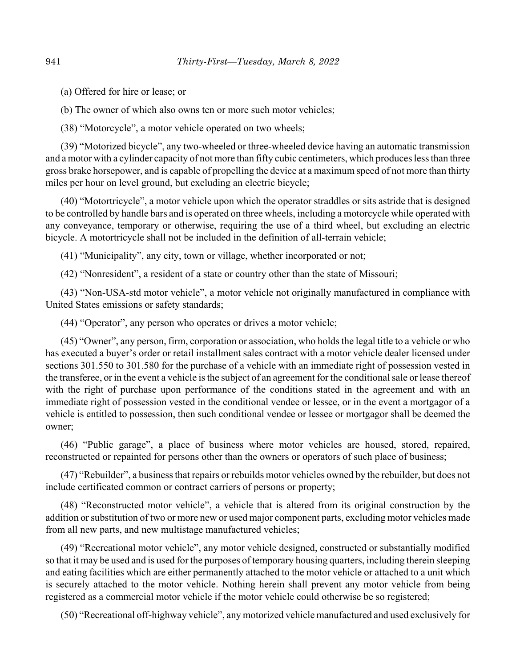(a) Offered for hire or lease; or

(b) The owner of which also owns ten or more such motor vehicles;

(38) "Motorcycle", a motor vehicle operated on two wheels;

(39) "Motorized bicycle", any two-wheeled or three-wheeled device having an automatic transmission and a motor with a cylinder capacity of not more than fifty cubic centimeters, which produces less than three gross brake horsepower, and is capable of propelling the device at a maximum speed of not more than thirty miles per hour on level ground, but excluding an electric bicycle;

(40) "Motortricycle", a motor vehicle upon which the operator straddles or sits astride that is designed to be controlled by handle bars and is operated on three wheels, including a motorcycle while operated with any conveyance, temporary or otherwise, requiring the use of a third wheel, but excluding an electric bicycle. A motortricycle shall not be included in the definition of all-terrain vehicle;

(41) "Municipality", any city, town or village, whether incorporated or not;

(42) "Nonresident", a resident of a state or country other than the state of Missouri;

(43) "Non-USA-std motor vehicle", a motor vehicle not originally manufactured in compliance with United States emissions or safety standards;

(44) "Operator", any person who operates or drives a motor vehicle;

(45) "Owner", any person, firm, corporation or association, who holds the legal title to a vehicle or who has executed a buyer's order or retail installment sales contract with a motor vehicle dealer licensed under sections 301.550 to 301.580 for the purchase of a vehicle with an immediate right of possession vested in the transferee, or in the event a vehicle is the subject of an agreement for the conditional sale or lease thereof with the right of purchase upon performance of the conditions stated in the agreement and with an immediate right of possession vested in the conditional vendee or lessee, or in the event a mortgagor of a vehicle is entitled to possession, then such conditional vendee or lessee or mortgagor shall be deemed the owner;

(46) "Public garage", a place of business where motor vehicles are housed, stored, repaired, reconstructed or repainted for persons other than the owners or operators of such place of business;

(47) "Rebuilder", a business that repairs or rebuilds motor vehicles owned by the rebuilder, but does not include certificated common or contract carriers of persons or property;

(48) "Reconstructed motor vehicle", a vehicle that is altered from its original construction by the addition or substitution of two or more new or used major component parts, excluding motor vehicles made from all new parts, and new multistage manufactured vehicles;

(49) "Recreational motor vehicle", any motor vehicle designed, constructed or substantially modified so that it may be used and is used for the purposes of temporary housing quarters, including therein sleeping and eating facilities which are either permanently attached to the motor vehicle or attached to a unit which is securely attached to the motor vehicle. Nothing herein shall prevent any motor vehicle from being registered as a commercial motor vehicle if the motor vehicle could otherwise be so registered;

(50) "Recreational off-highway vehicle", any motorized vehicle manufactured and used exclusively for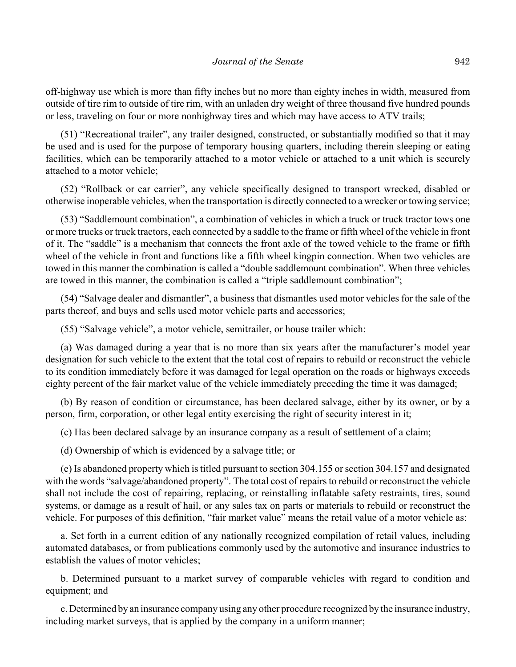off-highway use which is more than fifty inches but no more than eighty inches in width, measured from outside of tire rim to outside of tire rim, with an unladen dry weight of three thousand five hundred pounds or less, traveling on four or more nonhighway tires and which may have access to ATV trails;

(51) "Recreational trailer", any trailer designed, constructed, or substantially modified so that it may be used and is used for the purpose of temporary housing quarters, including therein sleeping or eating facilities, which can be temporarily attached to a motor vehicle or attached to a unit which is securely attached to a motor vehicle;

(52) "Rollback or car carrier", any vehicle specifically designed to transport wrecked, disabled or otherwise inoperable vehicles, when the transportation is directly connected to a wrecker or towing service;

(53) "Saddlemount combination", a combination of vehicles in which a truck or truck tractor tows one or more trucks or truck tractors, each connected by a saddle to the frame or fifth wheel of the vehicle in front of it. The "saddle" is a mechanism that connects the front axle of the towed vehicle to the frame or fifth wheel of the vehicle in front and functions like a fifth wheel kingpin connection. When two vehicles are towed in this manner the combination is called a "double saddlemount combination". When three vehicles are towed in this manner, the combination is called a "triple saddlemount combination";

(54) "Salvage dealer and dismantler", a business that dismantles used motor vehicles for the sale of the parts thereof, and buys and sells used motor vehicle parts and accessories;

(55) "Salvage vehicle", a motor vehicle, semitrailer, or house trailer which:

(a) Was damaged during a year that is no more than six years after the manufacturer's model year designation for such vehicle to the extent that the total cost of repairs to rebuild or reconstruct the vehicle to its condition immediately before it was damaged for legal operation on the roads or highways exceeds eighty percent of the fair market value of the vehicle immediately preceding the time it was damaged;

(b) By reason of condition or circumstance, has been declared salvage, either by its owner, or by a person, firm, corporation, or other legal entity exercising the right of security interest in it;

(c) Has been declared salvage by an insurance company as a result of settlement of a claim;

(d) Ownership of which is evidenced by a salvage title; or

(e) Is abandoned property which is titled pursuant to section 304.155 or section 304.157 and designated with the words "salvage/abandoned property". The total cost of repairs to rebuild or reconstruct the vehicle shall not include the cost of repairing, replacing, or reinstalling inflatable safety restraints, tires, sound systems, or damage as a result of hail, or any sales tax on parts or materials to rebuild or reconstruct the vehicle. For purposes of this definition, "fair market value" means the retail value of a motor vehicle as:

a. Set forth in a current edition of any nationally recognized compilation of retail values, including automated databases, or from publications commonly used by the automotive and insurance industries to establish the values of motor vehicles;

b. Determined pursuant to a market survey of comparable vehicles with regard to condition and equipment; and

c. Determined by an insurance company using any other procedure recognized by the insurance industry, including market surveys, that is applied by the company in a uniform manner;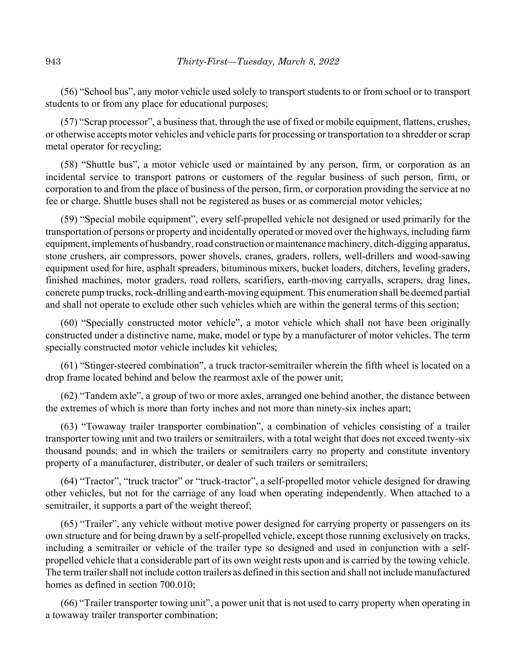(56) "School bus", any motor vehicle used solely to transport students to or from school or to transport students to or from any place for educational purposes;

(57) "Scrap processor", a business that, through the use of fixed or mobile equipment, flattens, crushes, or otherwise accepts motor vehicles and vehicle parts for processing or transportation to a shredder or scrap metal operator for recycling;

(58) "Shuttle bus", a motor vehicle used or maintained by any person, firm, or corporation as an incidental service to transport patrons or customers of the regular business of such person, firm, or corporation to and from the place of business of the person, firm, or corporation providing the service at no fee or charge. Shuttle buses shall not be registered as buses or as commercial motor vehicles;

(59) "Special mobile equipment", every self-propelled vehicle not designed or used primarily for the transportation of persons or property and incidentally operated or moved over the highways, including farm equipment, implements of husbandry, road construction or maintenance machinery, ditch-digging apparatus, stone crushers, air compressors, power shovels, cranes, graders, rollers, well-drillers and wood-sawing equipment used for hire, asphalt spreaders, bituminous mixers, bucket loaders, ditchers, leveling graders, finished machines, motor graders, road rollers, scarifiers, earth-moving carryalls, scrapers, drag lines, concrete pump trucks, rock-drilling and earth-moving equipment. This enumeration shall be deemed partial and shall not operate to exclude other such vehicles which are within the general terms of this section;

(60) "Specially constructed motor vehicle", a motor vehicle which shall not have been originally constructed under a distinctive name, make, model or type by a manufacturer of motor vehicles. The term specially constructed motor vehicle includes kit vehicles;

(61) "Stinger-steered combination", a truck tractor-semitrailer wherein the fifth wheel is located on a drop frame located behind and below the rearmost axle of the power unit;

(62) "Tandem axle", a group of two or more axles, arranged one behind another, the distance between the extremes of which is more than forty inches and not more than ninety-six inches apart;

(63) "Towaway trailer transporter combination", a combination of vehicles consisting of a trailer transporter towing unit and two trailers or semitrailers, with a total weight that does not exceed twenty-six thousand pounds; and in which the trailers or semitrailers carry no property and constitute inventory property of a manufacturer, distributer, or dealer of such trailers or semitrailers;

(64) "Tractor", "truck tractor" or "truck-tractor", a self-propelled motor vehicle designed for drawing other vehicles, but not for the carriage of any load when operating independently. When attached to a semitrailer, it supports a part of the weight thereof;

(65) "Trailer", any vehicle without motive power designed for carrying property or passengers on its own structure and for being drawn by a self-propelled vehicle, except those running exclusively on tracks, including a semitrailer or vehicle of the trailer type so designed and used in conjunction with a selfpropelled vehicle that a considerable part of its own weight rests upon and is carried by the towing vehicle. The term trailer shall not include cotton trailers as defined in this section and shall not include manufactured homes as defined in section 700.010;

(66) "Trailer transporter towing unit", a power unit that is not used to carry property when operating in a towaway trailer transporter combination;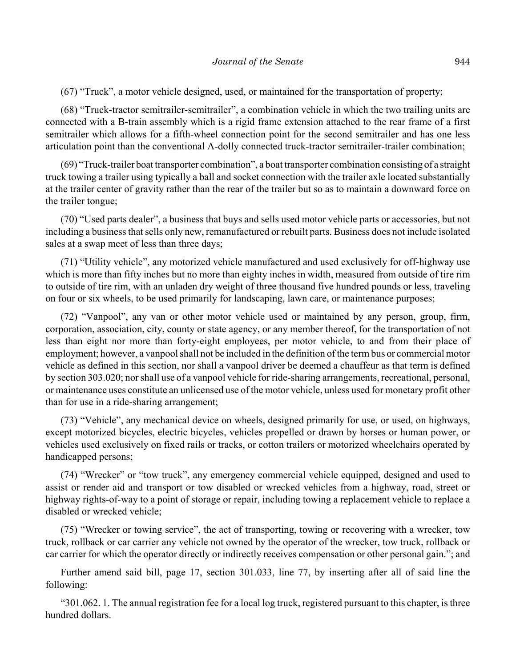(67) "Truck", a motor vehicle designed, used, or maintained for the transportation of property;

(68) "Truck-tractor semitrailer-semitrailer", a combination vehicle in which the two trailing units are connected with a B-train assembly which is a rigid frame extension attached to the rear frame of a first semitrailer which allows for a fifth-wheel connection point for the second semitrailer and has one less articulation point than the conventional A-dolly connected truck-tractor semitrailer-trailer combination;

(69) "Truck-trailer boat transporter combination", a boat transporter combination consisting of a straight truck towing a trailer using typically a ball and socket connection with the trailer axle located substantially at the trailer center of gravity rather than the rear of the trailer but so as to maintain a downward force on the trailer tongue;

(70) "Used parts dealer", a business that buys and sells used motor vehicle parts or accessories, but not including a business that sells only new, remanufactured or rebuilt parts. Business does not include isolated sales at a swap meet of less than three days;

(71) "Utility vehicle", any motorized vehicle manufactured and used exclusively for off-highway use which is more than fifty inches but no more than eighty inches in width, measured from outside of tire rim to outside of tire rim, with an unladen dry weight of three thousand five hundred pounds or less, traveling on four or six wheels, to be used primarily for landscaping, lawn care, or maintenance purposes;

(72) "Vanpool", any van or other motor vehicle used or maintained by any person, group, firm, corporation, association, city, county or state agency, or any member thereof, for the transportation of not less than eight nor more than forty-eight employees, per motor vehicle, to and from their place of employment; however, a vanpool shall not be included in the definition of the term bus or commercial motor vehicle as defined in this section, nor shall a vanpool driver be deemed a chauffeur as that term is defined by section 303.020; nor shall use of a vanpool vehicle for ride-sharing arrangements, recreational, personal, or maintenance uses constitute an unlicensed use of the motor vehicle, unless used for monetary profit other than for use in a ride-sharing arrangement;

(73) "Vehicle", any mechanical device on wheels, designed primarily for use, or used, on highways, except motorized bicycles, electric bicycles, vehicles propelled or drawn by horses or human power, or vehicles used exclusively on fixed rails or tracks, or cotton trailers or motorized wheelchairs operated by handicapped persons;

(74) "Wrecker" or "tow truck", any emergency commercial vehicle equipped, designed and used to assist or render aid and transport or tow disabled or wrecked vehicles from a highway, road, street or highway rights-of-way to a point of storage or repair, including towing a replacement vehicle to replace a disabled or wrecked vehicle;

(75) "Wrecker or towing service", the act of transporting, towing or recovering with a wrecker, tow truck, rollback or car carrier any vehicle not owned by the operator of the wrecker, tow truck, rollback or car carrier for which the operator directly or indirectly receives compensation or other personal gain."; and

Further amend said bill, page 17, section 301.033, line 77, by inserting after all of said line the following:

"301.062. 1. The annual registration fee for a local log truck, registered pursuant to this chapter, is three hundred dollars.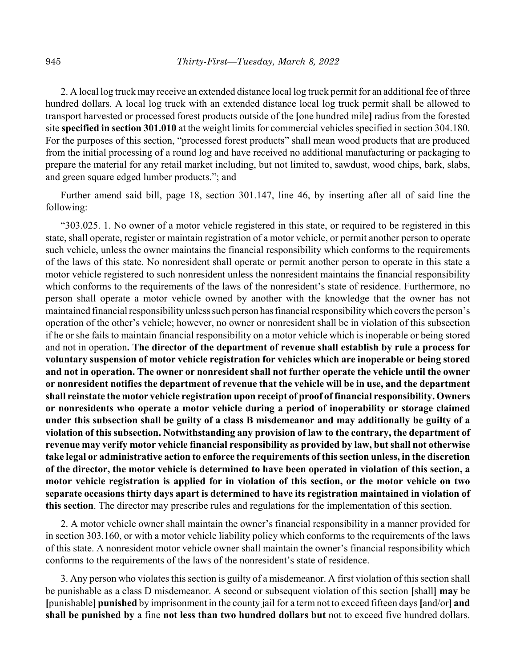2. A local log truck may receive an extended distance local log truck permit for an additional fee of three hundred dollars. A local log truck with an extended distance local log truck permit shall be allowed to transport harvested or processed forest products outside of the **[**one hundred mile**]** radius from the forested site **specified in section 301.010** at the weight limits for commercial vehicles specified in section 304.180. For the purposes of this section, "processed forest products" shall mean wood products that are produced from the initial processing of a round log and have received no additional manufacturing or packaging to prepare the material for any retail market including, but not limited to, sawdust, wood chips, bark, slabs, and green square edged lumber products."; and

Further amend said bill, page 18, section 301.147, line 46, by inserting after all of said line the following:

"303.025. 1. No owner of a motor vehicle registered in this state, or required to be registered in this state, shall operate, register or maintain registration of a motor vehicle, or permit another person to operate such vehicle, unless the owner maintains the financial responsibility which conforms to the requirements of the laws of this state. No nonresident shall operate or permit another person to operate in this state a motor vehicle registered to such nonresident unless the nonresident maintains the financial responsibility which conforms to the requirements of the laws of the nonresident's state of residence. Furthermore, no person shall operate a motor vehicle owned by another with the knowledge that the owner has not maintained financial responsibility unless such person has financial responsibility which covers the person's operation of the other's vehicle; however, no owner or nonresident shall be in violation of this subsection if he or she fails to maintain financial responsibility on a motor vehicle which is inoperable or being stored and not in operation**. The director of the department of revenue shall establish by rule a process for voluntary suspension of motor vehicle registration for vehicles which are inoperable or being stored and not in operation. The owner or nonresident shall not further operate the vehicle until the owner or nonresident notifies the department of revenue that the vehicle will be in use, and the department shall reinstate the motor vehicle registration upon receipt of proof of financial responsibility. Owners or nonresidents who operate a motor vehicle during a period of inoperability or storage claimed under this subsection shall be guilty of a class B misdemeanor and may additionally be guilty of a violation of this subsection. Notwithstanding any provision of law to the contrary, the department of revenue may verify motor vehicle financial responsibility as provided by law, but shall not otherwise take legal or administrative action to enforce the requirements of this section unless, in the discretion of the director, the motor vehicle is determined to have been operated in violation of this section, a motor vehicle registration is applied for in violation of this section, or the motor vehicle on two separate occasions thirty days apart is determined to have its registration maintained in violation of this section**. The director may prescribe rules and regulations for the implementation of this section.

2. A motor vehicle owner shall maintain the owner's financial responsibility in a manner provided for in section 303.160, or with a motor vehicle liability policy which conforms to the requirements of the laws of this state. A nonresident motor vehicle owner shall maintain the owner's financial responsibility which conforms to the requirements of the laws of the nonresident's state of residence.

3. Any person who violates this section is guilty of a misdemeanor. A first violation of this section shall be punishable as a class D misdemeanor. A second or subsequent violation of this section **[**shall**] may** be **[**punishable**] punished** by imprisonment in the county jail for a term not to exceed fifteen days **[**and/or**] and shall be punished by** a fine **not less than two hundred dollars but** not to exceed five hundred dollars.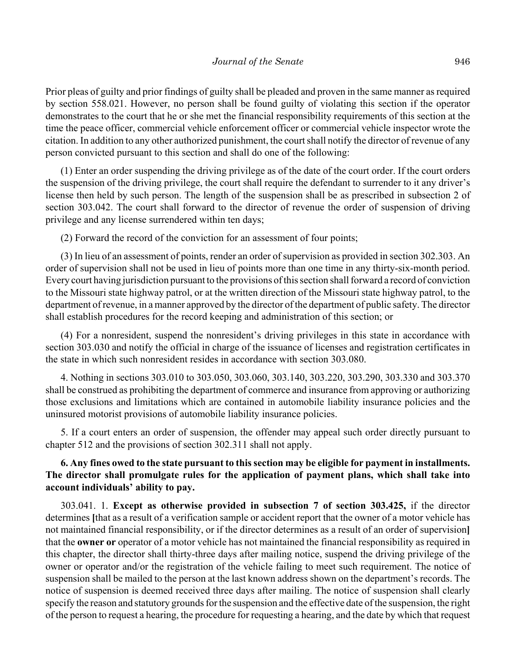Prior pleas of guilty and prior findings of guilty shall be pleaded and proven in the same manner as required by section 558.021. However, no person shall be found guilty of violating this section if the operator demonstrates to the court that he or she met the financial responsibility requirements of this section at the time the peace officer, commercial vehicle enforcement officer or commercial vehicle inspector wrote the citation. In addition to any other authorized punishment, the court shall notify the director of revenue of any person convicted pursuant to this section and shall do one of the following:

(1) Enter an order suspending the driving privilege as of the date of the court order. If the court orders the suspension of the driving privilege, the court shall require the defendant to surrender to it any driver's license then held by such person. The length of the suspension shall be as prescribed in subsection 2 of section 303.042. The court shall forward to the director of revenue the order of suspension of driving privilege and any license surrendered within ten days;

(2) Forward the record of the conviction for an assessment of four points;

(3) In lieu of an assessment of points, render an order of supervision as provided in section 302.303. An order of supervision shall not be used in lieu of points more than one time in any thirty-six-month period. Every court having jurisdiction pursuant to the provisions of this section shall forward a record of conviction to the Missouri state highway patrol, or at the written direction of the Missouri state highway patrol, to the department of revenue, in a manner approved by the director of the department of public safety. The director shall establish procedures for the record keeping and administration of this section; or

(4) For a nonresident, suspend the nonresident's driving privileges in this state in accordance with section 303.030 and notify the official in charge of the issuance of licenses and registration certificates in the state in which such nonresident resides in accordance with section 303.080.

4. Nothing in sections 303.010 to 303.050, 303.060, 303.140, 303.220, 303.290, 303.330 and 303.370 shall be construed as prohibiting the department of commerce and insurance from approving or authorizing those exclusions and limitations which are contained in automobile liability insurance policies and the uninsured motorist provisions of automobile liability insurance policies.

5. If a court enters an order of suspension, the offender may appeal such order directly pursuant to chapter 512 and the provisions of section 302.311 shall not apply.

# **6. Any fines owed to the state pursuant to this section may be eligible for payment in installments. The director shall promulgate rules for the application of payment plans, which shall take into account individuals' ability to pay.**

303.041. 1. **Except as otherwise provided in subsection 7 of section 303.425,** if the director determines **[**that as a result of a verification sample or accident report that the owner of a motor vehicle has not maintained financial responsibility, or if the director determines as a result of an order of supervision**]** that the **owner or** operator of a motor vehicle has not maintained the financial responsibility as required in this chapter, the director shall thirty-three days after mailing notice, suspend the driving privilege of the owner or operator and/or the registration of the vehicle failing to meet such requirement. The notice of suspension shall be mailed to the person at the last known address shown on the department's records. The notice of suspension is deemed received three days after mailing. The notice of suspension shall clearly specify the reason and statutory grounds for the suspension and the effective date of the suspension, the right of the person to request a hearing, the procedure for requesting a hearing, and the date by which that request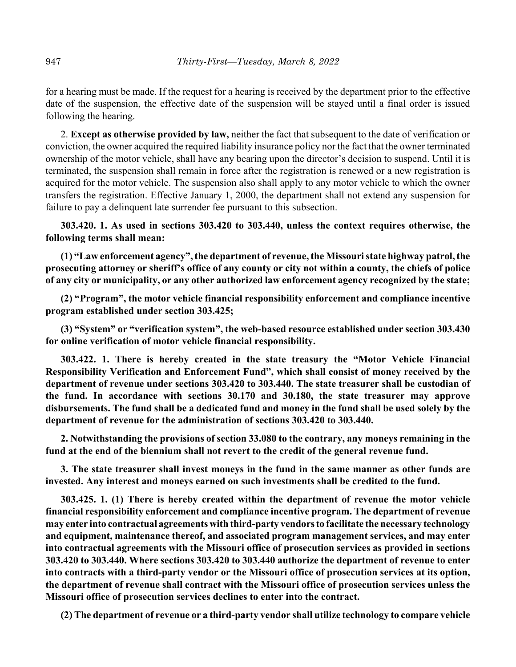for a hearing must be made. If the request for a hearing is received by the department prior to the effective date of the suspension, the effective date of the suspension will be stayed until a final order is issued following the hearing.

2. **Except as otherwise provided by law,** neither the fact that subsequent to the date of verification or conviction, the owner acquired the required liability insurance policy nor the fact that the owner terminated ownership of the motor vehicle, shall have any bearing upon the director's decision to suspend. Until it is terminated, the suspension shall remain in force after the registration is renewed or a new registration is acquired for the motor vehicle. The suspension also shall apply to any motor vehicle to which the owner transfers the registration. Effective January 1, 2000, the department shall not extend any suspension for failure to pay a delinquent late surrender fee pursuant to this subsection.

**303.420. 1. As used in sections 303.420 to 303.440, unless the context requires otherwise, the following terms shall mean:**

**(1) "Law enforcement agency", the department of revenue, the Missouri state highway patrol, the prosecuting attorney or sheriff's office of any county or city not within a county, the chiefs of police of any city or municipality, or any other authorized law enforcement agency recognized by the state;**

**(2) "Program", the motor vehicle financial responsibility enforcement and compliance incentive program established under section 303.425;**

**(3) "System" or "verification system", the web-based resource established under section 303.430 for online verification of motor vehicle financial responsibility.**

**303.422. 1. There is hereby created in the state treasury the "Motor Vehicle Financial Responsibility Verification and Enforcement Fund", which shall consist of money received by the department of revenue under sections 303.420 to 303.440. The state treasurer shall be custodian of the fund. In accordance with sections 30.170 and 30.180, the state treasurer may approve disbursements. The fund shall be a dedicated fund and money in the fund shall be used solely by the department of revenue for the administration of sections 303.420 to 303.440.**

**2. Notwithstanding the provisions of section 33.080 to the contrary, any moneys remaining in the fund at the end of the biennium shall not revert to the credit of the general revenue fund.**

**3. The state treasurer shall invest moneys in the fund in the same manner as other funds are invested. Any interest and moneys earned on such investments shall be credited to the fund.**

**303.425. 1. (1) There is hereby created within the department of revenue the motor vehicle financial responsibility enforcement and compliance incentive program. The department of revenue may enter into contractual agreements with third-party vendors to facilitate the necessary technology and equipment, maintenance thereof, and associated program management services, and may enter into contractual agreements with the Missouri office of prosecution services as provided in sections 303.420 to 303.440. Where sections 303.420 to 303.440 authorize the department of revenue to enter into contracts with a third-party vendor or the Missouri office of prosecution services at its option, the department of revenue shall contract with the Missouri office of prosecution services unless the Missouri office of prosecution services declines to enter into the contract.**

**(2) The department of revenue or a third-party vendor shall utilize technology to compare vehicle**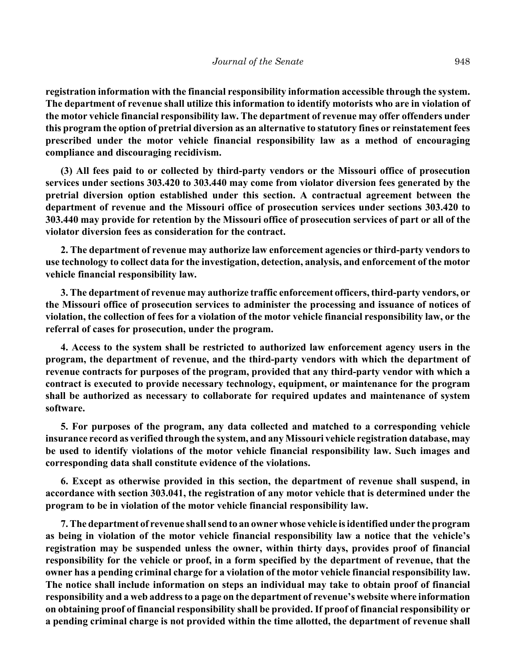**registration information with the financial responsibility information accessible through the system. The department of revenue shall utilize this information to identify motorists who are in violation of the motor vehicle financial responsibility law. The department of revenue may offer offenders under this program the option of pretrial diversion as an alternative to statutory fines or reinstatement fees prescribed under the motor vehicle financial responsibility law as a method of encouraging compliance and discouraging recidivism.**

**(3) All fees paid to or collected by third-party vendors or the Missouri office of prosecution services under sections 303.420 to 303.440 may come from violator diversion fees generated by the pretrial diversion option established under this section. A contractual agreement between the department of revenue and the Missouri office of prosecution services under sections 303.420 to 303.440 may provide for retention by the Missouri office of prosecution services of part or all of the violator diversion fees as consideration for the contract.**

**2. The department of revenue may authorize law enforcement agencies or third-party vendors to use technology to collect data for the investigation, detection, analysis, and enforcement of the motor vehicle financial responsibility law.**

**3. The department of revenue may authorize traffic enforcement officers, third-party vendors, or the Missouri office of prosecution services to administer the processing and issuance of notices of violation, the collection of fees for a violation of the motor vehicle financial responsibility law, or the referral of cases for prosecution, under the program.**

**4. Access to the system shall be restricted to authorized law enforcement agency users in the program, the department of revenue, and the third-party vendors with which the department of revenue contracts for purposes of the program, provided that any third-party vendor with which a contract is executed to provide necessary technology, equipment, or maintenance for the program shall be authorized as necessary to collaborate for required updates and maintenance of system software.**

**5. For purposes of the program, any data collected and matched to a corresponding vehicle insurance record as verified through the system, and any Missouri vehicle registration database, may be used to identify violations of the motor vehicle financial responsibility law. Such images and corresponding data shall constitute evidence of the violations.**

**6. Except as otherwise provided in this section, the department of revenue shall suspend, in accordance with section 303.041, the registration of any motor vehicle that is determined under the program to be in violation of the motor vehicle financial responsibility law.**

**7. The department of revenue shall send to an owner whose vehicle is identified under the program as being in violation of the motor vehicle financial responsibility law a notice that the vehicle's registration may be suspended unless the owner, within thirty days, provides proof of financial responsibility for the vehicle or proof, in a form specified by the department of revenue, that the owner has a pending criminal charge for a violation of the motor vehicle financial responsibility law. The notice shall include information on steps an individual may take to obtain proof of financial responsibility and a web address to a page on the department of revenue's website where information on obtaining proof of financial responsibility shall be provided. If proof of financial responsibility or a pending criminal charge is not provided within the time allotted, the department of revenue shall**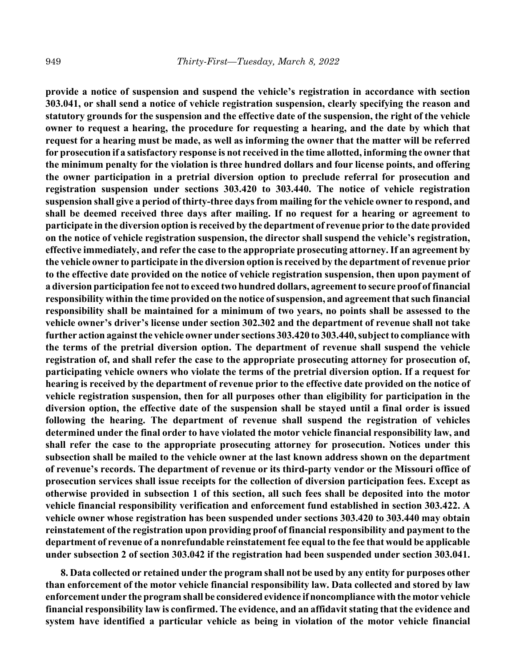**provide a notice of suspension and suspend the vehicle's registration in accordance with section 303.041, or shall send a notice of vehicle registration suspension, clearly specifying the reason and statutory grounds for the suspension and the effective date of the suspension, the right of the vehicle owner to request a hearing, the procedure for requesting a hearing, and the date by which that request for a hearing must be made, as well as informing the owner that the matter will be referred for prosecution if a satisfactory response is not received in the time allotted, informing the owner that the minimum penalty for the violation is three hundred dollars and four license points, and offering the owner participation in a pretrial diversion option to preclude referral for prosecution and registration suspension under sections 303.420 to 303.440. The notice of vehicle registration suspension shall give a period of thirty-three days from mailing for the vehicle owner to respond, and shall be deemed received three days after mailing. If no request for a hearing or agreement to participate in the diversion option is received by the department of revenue prior to the date provided on the notice of vehicle registration suspension, the director shall suspend the vehicle's registration, effective immediately, and refer the case to the appropriate prosecuting attorney. If an agreement by the vehicle owner to participate in the diversion option is received by the department of revenue prior to the effective date provided on the notice of vehicle registration suspension, then upon payment of a diversion participation fee not to exceed two hundred dollars, agreement to secure proof of financial responsibility within the time provided on the notice of suspension, and agreement that such financial responsibility shall be maintained for a minimum of two years, no points shall be assessed to the vehicle owner's driver's license under section 302.302 and the department of revenue shall not take further action against the vehicle owner under sections 303.420 to 303.440, subject to compliance with the terms of the pretrial diversion option. The department of revenue shall suspend the vehicle registration of, and shall refer the case to the appropriate prosecuting attorney for prosecution of, participating vehicle owners who violate the terms of the pretrial diversion option. If a request for hearing is received by the department of revenue prior to the effective date provided on the notice of vehicle registration suspension, then for all purposes other than eligibility for participation in the diversion option, the effective date of the suspension shall be stayed until a final order is issued following the hearing. The department of revenue shall suspend the registration of vehicles determined under the final order to have violated the motor vehicle financial responsibility law, and shall refer the case to the appropriate prosecuting attorney for prosecution. Notices under this subsection shall be mailed to the vehicle owner at the last known address shown on the department of revenue's records. The department of revenue or its third-party vendor or the Missouri office of prosecution services shall issue receipts for the collection of diversion participation fees. Except as otherwise provided in subsection 1 of this section, all such fees shall be deposited into the motor vehicle financial responsibility verification and enforcement fund established in section 303.422. A vehicle owner whose registration has been suspended under sections 303.420 to 303.440 may obtain reinstatement of the registration upon providing proof of financial responsibility and payment to the department of revenue of a nonrefundable reinstatement fee equal to the fee that would be applicable under subsection 2 of section 303.042 if the registration had been suspended under section 303.041.**

**8. Data collected or retained under the program shall not be used by any entity for purposes other than enforcement of the motor vehicle financial responsibility law. Data collected and stored by law enforcement under the program shall be considered evidence if noncompliance with the motor vehicle financial responsibility law is confirmed. The evidence, and an affidavit stating that the evidence and system have identified a particular vehicle as being in violation of the motor vehicle financial**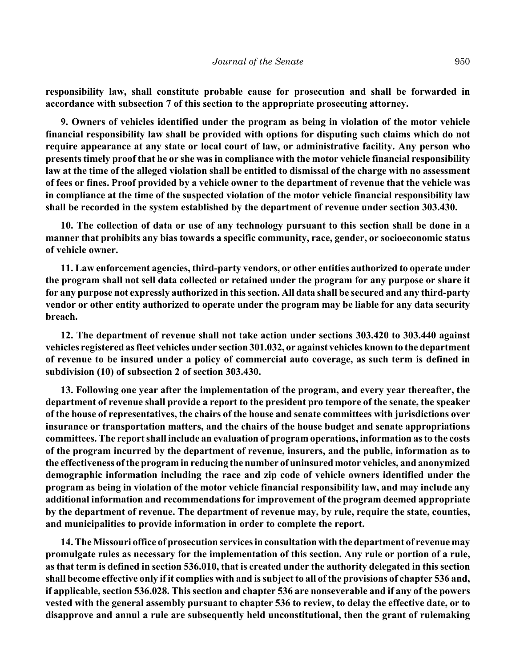**responsibility law, shall constitute probable cause for prosecution and shall be forwarded in accordance with subsection 7 of this section to the appropriate prosecuting attorney.**

**9. Owners of vehicles identified under the program as being in violation of the motor vehicle financial responsibility law shall be provided with options for disputing such claims which do not require appearance at any state or local court of law, or administrative facility. Any person who presents timely proof that he or she was in compliance with the motor vehicle financial responsibility law at the time of the alleged violation shall be entitled to dismissal of the charge with no assessment of fees or fines. Proof provided by a vehicle owner to the department of revenue that the vehicle was in compliance at the time of the suspected violation of the motor vehicle financial responsibility law shall be recorded in the system established by the department of revenue under section 303.430.**

**10. The collection of data or use of any technology pursuant to this section shall be done in a manner that prohibits any bias towards a specific community, race, gender, or socioeconomic status of vehicle owner.**

**11. Law enforcement agencies, third-party vendors, or other entities authorized to operate under the program shall not sell data collected or retained under the program for any purpose or share it for any purpose not expressly authorized in this section. All data shall be secured and any third-party vendor or other entity authorized to operate under the program may be liable for any data security breach.**

**12. The department of revenue shall not take action under sections 303.420 to 303.440 against vehicles registered as fleet vehicles under section 301.032, or against vehicles known to the department of revenue to be insured under a policy of commercial auto coverage, as such term is defined in subdivision (10) of subsection 2 of section 303.430.**

**13. Following one year after the implementation of the program, and every year thereafter, the department of revenue shall provide a report to the president pro tempore of the senate, the speaker of the house of representatives, the chairs of the house and senate committees with jurisdictions over insurance or transportation matters, and the chairs of the house budget and senate appropriations committees. The report shall include an evaluation of program operations, information as to the costs of the program incurred by the department of revenue, insurers, and the public, information as to the effectiveness of the program in reducing the number of uninsured motor vehicles, and anonymized demographic information including the race and zip code of vehicle owners identified under the program as being in violation of the motor vehicle financial responsibility law, and may include any additional information and recommendations for improvement of the program deemed appropriate by the department of revenue. The department of revenue may, by rule, require the state, counties, and municipalities to provide information in order to complete the report.**

**14. The Missouri office of prosecution services in consultation with the department of revenue may promulgate rules as necessary for the implementation of this section. Any rule or portion of a rule, as that term is defined in section 536.010, that is created under the authority delegated in this section shall become effective only if it complies with and is subject to all of the provisions of chapter 536 and, if applicable, section 536.028. This section and chapter 536 are nonseverable and if any of the powers vested with the general assembly pursuant to chapter 536 to review, to delay the effective date, or to disapprove and annul a rule are subsequently held unconstitutional, then the grant of rulemaking**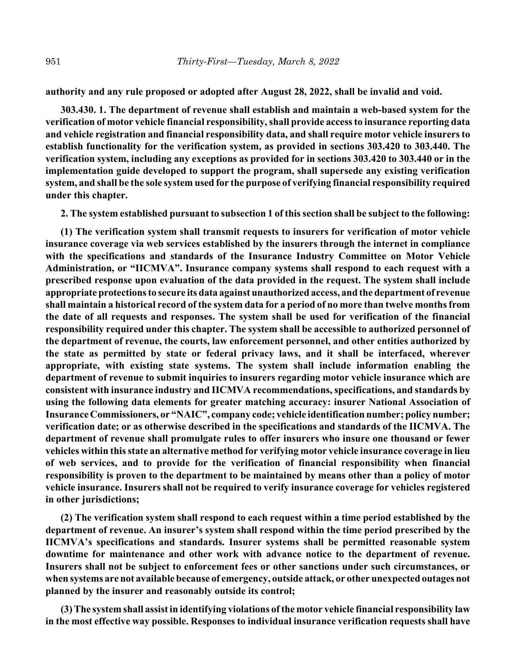**authority and any rule proposed or adopted after August 28, 2022, shall be invalid and void.**

**303.430. 1. The department of revenue shall establish and maintain a web-based system for the verification of motor vehicle financial responsibility, shall provide access to insurance reporting data and vehicle registration and financial responsibility data, and shall require motor vehicle insurers to establish functionality for the verification system, as provided in sections 303.420 to 303.440. The verification system, including any exceptions as provided for in sections 303.420 to 303.440 or in the implementation guide developed to support the program, shall supersede any existing verification system, and shall be the sole system used for the purpose of verifying financial responsibility required under this chapter.**

**2. The system established pursuant to subsection 1 of this section shall be subject to the following:**

**(1) The verification system shall transmit requests to insurers for verification of motor vehicle insurance coverage via web services established by the insurers through the internet in compliance with the specifications and standards of the Insurance Industry Committee on Motor Vehicle Administration, or "IICMVA". Insurance company systems shall respond to each request with a prescribed response upon evaluation of the data provided in the request. The system shall include appropriate protections to secure its data against unauthorized access, and the department of revenue shall maintain a historical record of the system data for a period of no more than twelve months from the date of all requests and responses. The system shall be used for verification of the financial responsibility required under this chapter. The system shall be accessible to authorized personnel of the department of revenue, the courts, law enforcement personnel, and other entities authorized by the state as permitted by state or federal privacy laws, and it shall be interfaced, wherever appropriate, with existing state systems. The system shall include information enabling the department of revenue to submit inquiries to insurers regarding motor vehicle insurance which are consistent with insurance industry and IICMVA recommendations, specifications, and standards by using the following data elements for greater matching accuracy: insurer National Association of Insurance Commissioners, or "NAIC", company code; vehicle identification number; policy number; verification date; or as otherwise described in the specifications and standards of the IICMVA. The department of revenue shall promulgate rules to offer insurers who insure one thousand or fewer vehicles within this state an alternative method for verifying motor vehicle insurance coverage in lieu of web services, and to provide for the verification of financial responsibility when financial responsibility is proven to the department to be maintained by means other than a policy of motor vehicle insurance. Insurers shall not be required to verify insurance coverage for vehicles registered in other jurisdictions;**

**(2) The verification system shall respond to each request within a time period established by the department of revenue. An insurer's system shall respond within the time period prescribed by the IICMVA's specifications and standards. Insurer systems shall be permitted reasonable system downtime for maintenance and other work with advance notice to the department of revenue. Insurers shall not be subject to enforcement fees or other sanctions under such circumstances, or when systems are not available because of emergency, outside attack, or other unexpected outages not planned by the insurer and reasonably outside its control;**

**(3) The system shall assist in identifying violations of the motor vehicle financial responsibility law in the most effective way possible. Responses to individual insurance verification requests shall have**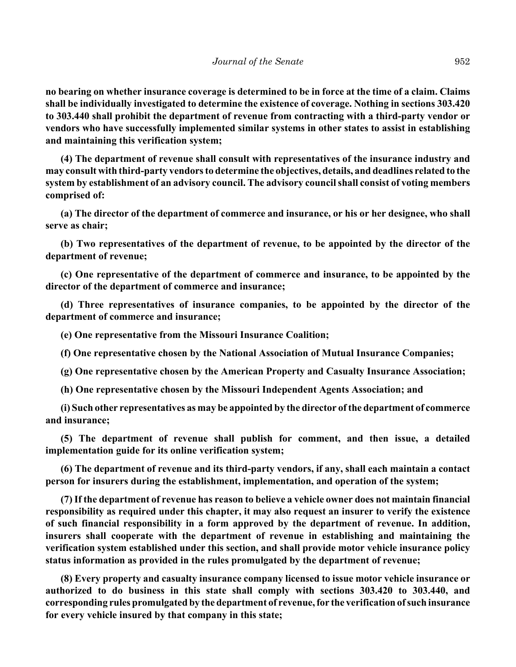**no bearing on whether insurance coverage is determined to be in force at the time of a claim. Claims shall be individually investigated to determine the existence of coverage. Nothing in sections 303.420 to 303.440 shall prohibit the department of revenue from contracting with a third-party vendor or vendors who have successfully implemented similar systems in other states to assist in establishing and maintaining this verification system;**

**(4) The department of revenue shall consult with representatives of the insurance industry and may consult with third-party vendors to determine the objectives, details, and deadlines related to the system by establishment of an advisory council. The advisory council shall consist of voting members comprised of:**

**(a) The director of the department of commerce and insurance, or his or her designee, who shall serve as chair;**

**(b) Two representatives of the department of revenue, to be appointed by the director of the department of revenue;**

**(c) One representative of the department of commerce and insurance, to be appointed by the director of the department of commerce and insurance;**

**(d) Three representatives of insurance companies, to be appointed by the director of the department of commerce and insurance;**

**(e) One representative from the Missouri Insurance Coalition;**

**(f) One representative chosen by the National Association of Mutual Insurance Companies;**

**(g) One representative chosen by the American Property and Casualty Insurance Association;**

**(h) One representative chosen by the Missouri Independent Agents Association; and**

**(i) Such other representatives as may be appointed by the director of the department of commerce and insurance;**

**(5) The department of revenue shall publish for comment, and then issue, a detailed implementation guide for its online verification system;**

**(6) The department of revenue and its third-party vendors, if any, shall each maintain a contact person for insurers during the establishment, implementation, and operation of the system;**

**(7) If the department of revenue has reason to believe a vehicle owner does not maintain financial responsibility as required under this chapter, it may also request an insurer to verify the existence of such financial responsibility in a form approved by the department of revenue. In addition, insurers shall cooperate with the department of revenue in establishing and maintaining the verification system established under this section, and shall provide motor vehicle insurance policy status information as provided in the rules promulgated by the department of revenue;**

**(8) Every property and casualty insurance company licensed to issue motor vehicle insurance or authorized to do business in this state shall comply with sections 303.420 to 303.440, and corresponding rules promulgated by the department of revenue, for the verification of such insurance for every vehicle insured by that company in this state;**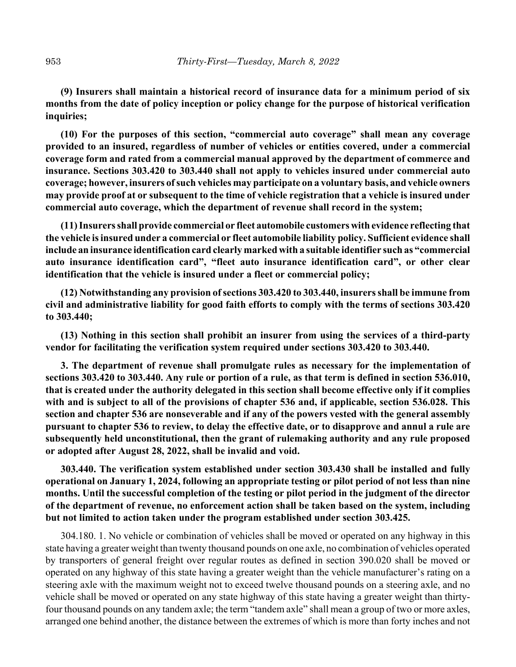**(9) Insurers shall maintain a historical record of insurance data for a minimum period of six months from the date of policy inception or policy change for the purpose of historical verification inquiries;**

**(10) For the purposes of this section, "commercial auto coverage" shall mean any coverage provided to an insured, regardless of number of vehicles or entities covered, under a commercial coverage form and rated from a commercial manual approved by the department of commerce and insurance. Sections 303.420 to 303.440 shall not apply to vehicles insured under commercial auto coverage; however, insurers of such vehicles may participate on a voluntary basis, and vehicle owners may provide proof at or subsequent to the time of vehicle registration that a vehicle is insured under commercial auto coverage, which the department of revenue shall record in the system;**

**(11) Insurers shall provide commercial or fleet automobile customers with evidence reflecting that the vehicle is insured under a commercial or fleet automobile liability policy. Sufficient evidence shall include an insurance identification card clearly marked with a suitable identifier such as "commercial auto insurance identification card", "fleet auto insurance identification card", or other clear identification that the vehicle is insured under a fleet or commercial policy;**

**(12) Notwithstanding any provision of sections 303.420 to 303.440, insurers shall be immune from civil and administrative liability for good faith efforts to comply with the terms of sections 303.420 to 303.440;**

**(13) Nothing in this section shall prohibit an insurer from using the services of a third-party vendor for facilitating the verification system required under sections 303.420 to 303.440.**

**3. The department of revenue shall promulgate rules as necessary for the implementation of sections 303.420 to 303.440. Any rule or portion of a rule, as that term is defined in section 536.010, that is created under the authority delegated in this section shall become effective only if it complies with and is subject to all of the provisions of chapter 536 and, if applicable, section 536.028. This section and chapter 536 are nonseverable and if any of the powers vested with the general assembly pursuant to chapter 536 to review, to delay the effective date, or to disapprove and annul a rule are subsequently held unconstitutional, then the grant of rulemaking authority and any rule proposed or adopted after August 28, 2022, shall be invalid and void.**

**303.440. The verification system established under section 303.430 shall be installed and fully operational on January 1, 2024, following an appropriate testing or pilot period of not less than nine months. Until the successful completion of the testing or pilot period in the judgment of the director of the department of revenue, no enforcement action shall be taken based on the system, including but not limited to action taken under the program established under section 303.425.**

304.180. 1. No vehicle or combination of vehicles shall be moved or operated on any highway in this state having a greater weight than twenty thousand pounds on one axle, no combination of vehicles operated by transporters of general freight over regular routes as defined in section 390.020 shall be moved or operated on any highway of this state having a greater weight than the vehicle manufacturer's rating on a steering axle with the maximum weight not to exceed twelve thousand pounds on a steering axle, and no vehicle shall be moved or operated on any state highway of this state having a greater weight than thirtyfour thousand pounds on any tandem axle; the term "tandem axle" shall mean a group of two or more axles, arranged one behind another, the distance between the extremes of which is more than forty inches and not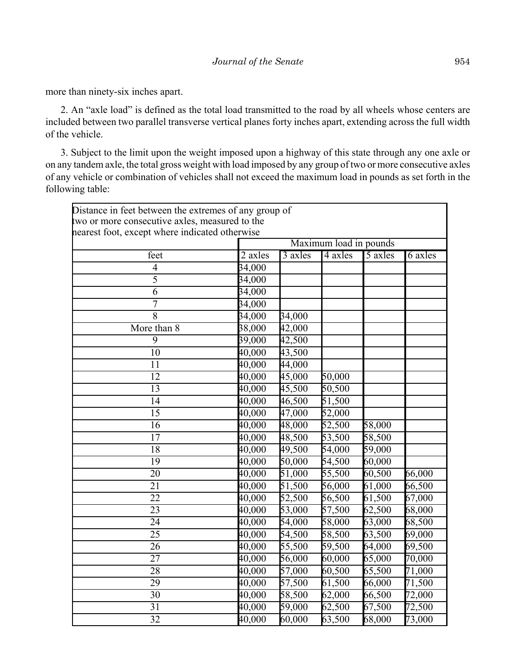more than ninety-six inches apart.

2. An "axle load" is defined as the total load transmitted to the road by all wheels whose centers are included between two parallel transverse vertical planes forty inches apart, extending across the full width of the vehicle.

3. Subject to the limit upon the weight imposed upon a highway of this state through any one axle or on any tandem axle, the total gross weight with load imposed by any group of two or more consecutive axles of any vehicle or combination of vehicles shall not exceed the maximum load in pounds as set forth in the following table:

| Distance in feet between the extremes of any group of<br>two or more consecutive axles, measured to the<br>nearest foot, except where indicated otherwise |                        |         |         |         |         |
|-----------------------------------------------------------------------------------------------------------------------------------------------------------|------------------------|---------|---------|---------|---------|
|                                                                                                                                                           | Maximum load in pounds |         |         |         |         |
| feet                                                                                                                                                      | 2 axles                | 3 axles | 4 axles | 5 axles | 6 axles |
| $\overline{4}$                                                                                                                                            | 34,000                 |         |         |         |         |
| $\overline{5}$                                                                                                                                            | 34,000                 |         |         |         |         |
| 6                                                                                                                                                         | 34,000                 |         |         |         |         |
| $\overline{7}$                                                                                                                                            | 34,000                 |         |         |         |         |
| 8                                                                                                                                                         | 34,000                 | 34,000  |         |         |         |
| More than 8                                                                                                                                               | 38,000                 | 42,000  |         |         |         |
| 9                                                                                                                                                         | 39,000                 | 42,500  |         |         |         |
| 10                                                                                                                                                        | 40,000                 | 43,500  |         |         |         |
| $\overline{11}$                                                                                                                                           | 40,000                 | 44,000  |         |         |         |
| $\overline{12}$                                                                                                                                           | 40,000                 | 45,000  | 50,000  |         |         |
| 13                                                                                                                                                        | 40,000                 | 45,500  | 50,500  |         |         |
| 14                                                                                                                                                        | 40,000                 | 46,500  | 51,500  |         |         |
| 15                                                                                                                                                        | 40,000                 | 47,000  | 52,000  |         |         |
| $\overline{16}$                                                                                                                                           | 40,000                 | 48,000  | 52,500  | 58,000  |         |
| $\overline{17}$                                                                                                                                           | 40,000                 | 48,500  | 53,500  | 58,500  |         |
| 18                                                                                                                                                        | 40,000                 | 49,500  | 54,000  | 59,000  |         |
| 19                                                                                                                                                        | 40,000                 | 50,000  | 54,500  | 60,000  |         |
| 20                                                                                                                                                        | 40,000                 | 51,000  | 55,500  | 60,500  | 66,000  |
| 21                                                                                                                                                        | 40,000                 | 51,500  | 56,000  | 61,000  | 66,500  |
| $\overline{22}$                                                                                                                                           | 40,000                 | 52,500  | 56,500  | 61,500  | 67,000  |
| 23                                                                                                                                                        | 40,000                 | 53,000  | 57,500  | 62,500  | 68,000  |
| 24                                                                                                                                                        | 40,000                 | 54,000  | 58,000  | 63,000  | 68,500  |
| 25                                                                                                                                                        | 40,000                 | 54,500  | 58,500  | 63,500  | 69,000  |
| 26                                                                                                                                                        | 40,000                 | 55,500  | 59,500  | 64,000  | 69,500  |
| $\overline{27}$                                                                                                                                           | 40,000                 | 56,000  | 60,000  | 65,000  | 70,000  |
| 28                                                                                                                                                        | 40,000                 | 57,000  | 60,500  | 65,500  | 71,000  |
| 29                                                                                                                                                        | 40,000                 | 57,500  | 61,500  | 66,000  | 71,500  |
| 30                                                                                                                                                        | 40,000                 | 58,500  | 62,000  | 66,500  | 72,000  |
| 31                                                                                                                                                        | 40,000                 | 59,000  | 62,500  | 67,500  | 72,500  |
| $\overline{32}$                                                                                                                                           | 40,000                 | 60,000  | 63,500  | 68,000  | 73,000  |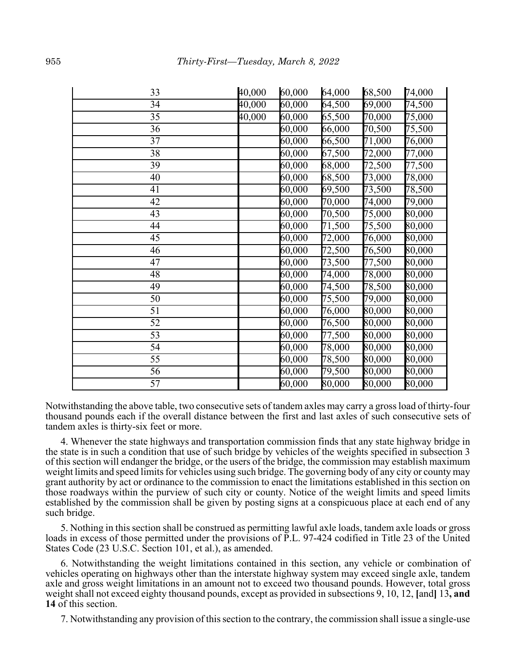| 33              | 40,000                | 60,000                | 64,000 | 68,500     | 74,000                |
|-----------------|-----------------------|-----------------------|--------|------------|-----------------------|
| 34              | 40,000                | 60,000                | 64,500 | 69,000     | 74,500                |
| $\overline{35}$ | $40,\!\overline{000}$ | 60,000                | 65,500 | $70,\!000$ | 75,000                |
| 36              |                       | 60,000                | 66,000 | 70,500     | 75,500                |
| 37              |                       | $60,\!00\overline{0}$ | 66,500 | 71,000     | 76,000                |
| 38              |                       | 60,000                | 67,500 | 72,000     | 77,000                |
| 39              |                       | 60,000                | 68,000 | 72,500     | 77,500                |
| 40              |                       | 60,000                | 68,500 | 73,000     | 78,000                |
| 41              |                       | 60,000                | 69,500 | 73,500     | 78,500                |
| 42              |                       | 60,000                | 70,000 | 74,000     | 79,000                |
| 43              |                       | 60,000                | 70,500 | 75,000     | $80,\!00\overline{0}$ |
| 44              |                       | 60,000                | 71,500 | 75,500     | 80,000                |
| 45              |                       | 60,000                | 72,000 | 76,000     | 80,000                |
| 46              |                       | 60,000                | 72,500 | 76,500     | 80,000                |
| $\overline{47}$ |                       | 60,000                | 73,500 | 77,500     | 80,000                |
| 48              |                       | 60,000                | 74,000 | 78,000     | 80,000                |
| 49              |                       | 60,000                | 74,500 | 78,500     | 80,000                |
| $\overline{50}$ |                       | 60,000                | 75,500 | 79,000     | $80,\!000$            |
| 51              |                       | 60,000                | 76,000 | 80,000     | 80,000                |
| 52              |                       | 60,000                | 76,500 | 80,000     | 80,000                |
| 53              |                       | 60,000                | 77,500 | 80,000     | 80,000                |
| 54              |                       | 60,000                | 78,000 | 80,000     | 80,000                |
| 55              |                       | 60,000                | 78,500 | 80,000     | 80,000                |
| 56              |                       | 60,000                | 79,500 | 80,000     | 80,000                |
| 57              |                       | 60,000                | 80,000 | 80,000     | 80,000                |

Notwithstanding the above table, two consecutive sets of tandem axles may carry a gross load of thirty-four thousand pounds each if the overall distance between the first and last axles of such consecutive sets of tandem axles is thirty-six feet or more.

4. Whenever the state highways and transportation commission finds that any state highway bridge in the state is in such a condition that use of such bridge by vehicles of the weights specified in subsection 3 of this section will endanger the bridge, or the users of the bridge, the commission may establish maximum weight limits and speed limits for vehicles using such bridge. The governing body of any city or county may grant authority by act or ordinance to the commission to enact the limitations established in this section on those roadways within the purview of such city or county. Notice of the weight limits and speed limits established by the commission shall be given by posting signs at a conspicuous place at each end of any such bridge.

5. Nothing in this section shall be construed as permitting lawful axle loads, tandem axle loads or gross loads in excess of those permitted under the provisions of P.L. 97-424 codified in Title 23 of the United States Code (23 U.S.C. Section 101, et al.), as amended.

6. Notwithstanding the weight limitations contained in this section, any vehicle or combination of vehicles operating on highways other than the interstate highway system may exceed single axle, tandem axle and gross weight limitations in an amount not to exceed two thousand pounds. However, total gross weight shall not exceed eighty thousand pounds, except as provided in subsections 9, 10, 12, **[**and**]** 13**, and 14** of this section.

7. Notwithstanding any provision of this section to the contrary, the commission shall issue a single-use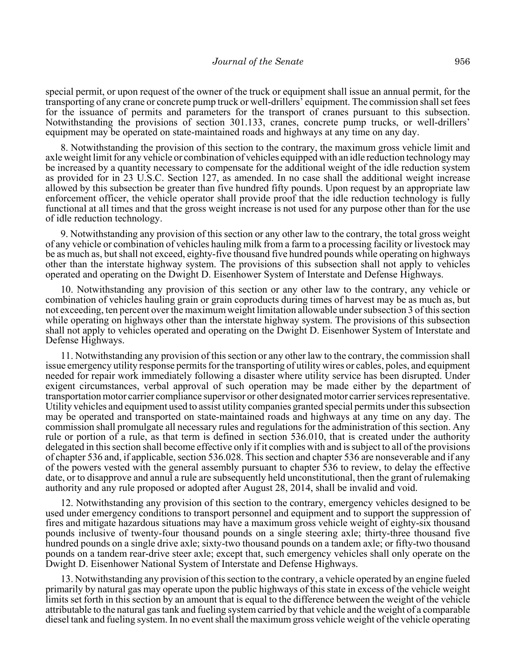special permit, or upon request of the owner of the truck or equipment shall issue an annual permit, for the transporting of any crane or concrete pump truck or well-drillers' equipment. The commission shall set fees for the issuance of permits and parameters for the transport of cranes pursuant to this subsection. Notwithstanding the provisions of section 301.133, cranes, concrete pump trucks, or well-drillers' equipment may be operated on state-maintained roads and highways at any time on any day.

8. Notwithstanding the provision of this section to the contrary, the maximum gross vehicle limit and axle weight limit for any vehicle or combination of vehicles equipped with an idle reduction technology may be increased by a quantity necessary to compensate for the additional weight of the idle reduction system as provided for in 23 U.S.C. Section 127, as amended. In no case shall the additional weight increase allowed by this subsection be greater than five hundred fifty pounds. Upon request by an appropriate law enforcement officer, the vehicle operator shall provide proof that the idle reduction technology is fully functional at all times and that the gross weight increase is not used for any purpose other than for the use of idle reduction technology.

9. Notwithstanding any provision of this section or any other law to the contrary, the total gross weight of any vehicle or combination of vehicles hauling milk from a farm to a processing facility or livestock may be as much as, but shall not exceed, eighty-five thousand five hundred pounds while operating on highways other than the interstate highway system. The provisions of this subsection shall not apply to vehicles operated and operating on the Dwight D. Eisenhower System of Interstate and Defense Highways.

10. Notwithstanding any provision of this section or any other law to the contrary, any vehicle or combination of vehicles hauling grain or grain coproducts during times of harvest may be as much as, but not exceeding, ten percent over the maximum weight limitation allowable under subsection 3 of this section while operating on highways other than the interstate highway system. The provisions of this subsection shall not apply to vehicles operated and operating on the Dwight D. Eisenhower System of Interstate and Defense Highways.

11. Notwithstanding any provision of this section or any other law to the contrary, the commission shall issue emergency utility response permits for the transporting of utility wires or cables, poles, and equipment needed for repair work immediately following a disaster where utility service has been disrupted. Under exigent circumstances, verbal approval of such operation may be made either by the department of transportation motor carrier compliance supervisor or other designated motor carrier services representative. Utility vehicles and equipment used to assist utility companies granted special permits under this subsection may be operated and transported on state-maintained roads and highways at any time on any day. The commission shall promulgate all necessary rules and regulations for the administration of this section. Any rule or portion of a rule, as that term is defined in section 536.010, that is created under the authority delegated in this section shall become effective only if it complies with and is subject to all of the provisions of chapter 536 and, if applicable, section 536.028. This section and chapter 536 are nonseverable and if any of the powers vested with the general assembly pursuant to chapter 536 to review, to delay the effective date, or to disapprove and annul a rule are subsequently held unconstitutional, then the grant of rulemaking authority and any rule proposed or adopted after August 28, 2014, shall be invalid and void.

12. Notwithstanding any provision of this section to the contrary, emergency vehicles designed to be used under emergency conditions to transport personnel and equipment and to support the suppression of fires and mitigate hazardous situations may have a maximum gross vehicle weight of eighty-six thousand pounds inclusive of twenty-four thousand pounds on a single steering axle; thirty-three thousand five hundred pounds on a single drive axle; sixty-two thousand pounds on a tandem axle; or fifty-two thousand pounds on a tandem rear-drive steer axle; except that, such emergency vehicles shall only operate on the Dwight D. Eisenhower National System of Interstate and Defense Highways.

13. Notwithstanding any provision of this section to the contrary, a vehicle operated by an engine fueled primarily by natural gas may operate upon the public highways of this state in excess of the vehicle weight limits set forth in this section by an amount that is equal to the difference between the weight of the vehicle attributable to the natural gas tank and fueling system carried by that vehicle and the weight of a comparable diesel tank and fueling system. In no event shall the maximum gross vehicle weight of the vehicle operating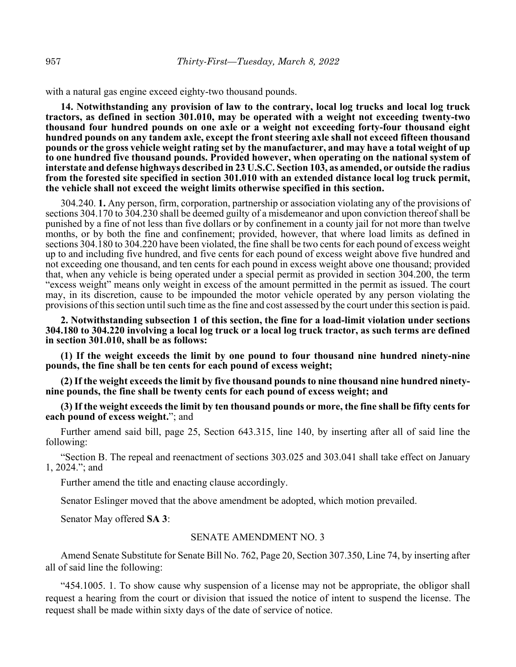with a natural gas engine exceed eighty-two thousand pounds.

**14. Notwithstanding any provision of law to the contrary, local log trucks and local log truck tractors, as defined in section 301.010, may be operated with a weight not exceeding twenty-two thousand four hundred pounds on one axle or a weight not exceeding forty-four thousand eight hundred pounds on any tandem axle, except the front steering axle shall not exceed fifteen thousand pounds or the gross vehicle weight rating set by the manufacturer, and may have a total weight of up to one hundred five thousand pounds. Provided however, when operating on the national system of interstate and defense highways described in 23 U.S.C. Section 103, as amended, or outside the radius from the forested site specified in section 301.010 with an extended distance local log truck permit, the vehicle shall not exceed the weight limits otherwise specified in this section.**

304.240. **1.** Any person, firm, corporation, partnership or association violating any of the provisions of sections 304.170 to 304.230 shall be deemed guilty of a misdemeanor and upon conviction thereof shall be punished by a fine of not less than five dollars or by confinement in a county jail for not more than twelve months, or by both the fine and confinement; provided, however, that where load limits as defined in sections 304.180 to 304.220 have been violated, the fine shall be two cents for each pound of excess weight up to and including five hundred, and five cents for each pound of excess weight above five hundred and not exceeding one thousand, and ten cents for each pound in excess weight above one thousand; provided that, when any vehicle is being operated under a special permit as provided in section 304.200, the term "excess weight" means only weight in excess of the amount permitted in the permit as issued. The court may, in its discretion, cause to be impounded the motor vehicle operated by any person violating the provisions of this section until such time as the fine and cost assessed by the court under this section is paid.

**2. Notwithstanding subsection 1 of this section, the fine for a load-limit violation under sections 304.180 to 304.220 involving a local log truck or a local log truck tractor, as such terms are defined in section 301.010, shall be as follows:**

**(1) If the weight exceeds the limit by one pound to four thousand nine hundred ninety-nine pounds, the fine shall be ten cents for each pound of excess weight;**

**(2) If the weight exceeds the limit by five thousand pounds to nine thousand nine hundred ninetynine pounds, the fine shall be twenty cents for each pound of excess weight; and**

**(3) If the weight exceeds the limit by ten thousand pounds or more, the fine shall be fifty cents for each pound of excess weight.**"; and

Further amend said bill, page 25, Section 643.315, line 140, by inserting after all of said line the following:

"Section B. The repeal and reenactment of sections 303.025 and 303.041 shall take effect on January 1, 2024."; and

Further amend the title and enacting clause accordingly.

Senator Eslinger moved that the above amendment be adopted, which motion prevailed.

Senator May offered **SA 3**:

#### SENATE AMENDMENT NO. 3

Amend Senate Substitute for Senate Bill No. 762, Page 20, Section 307.350, Line 74, by inserting after all of said line the following:

"454.1005. 1. To show cause why suspension of a license may not be appropriate, the obligor shall request a hearing from the court or division that issued the notice of intent to suspend the license. The request shall be made within sixty days of the date of service of notice.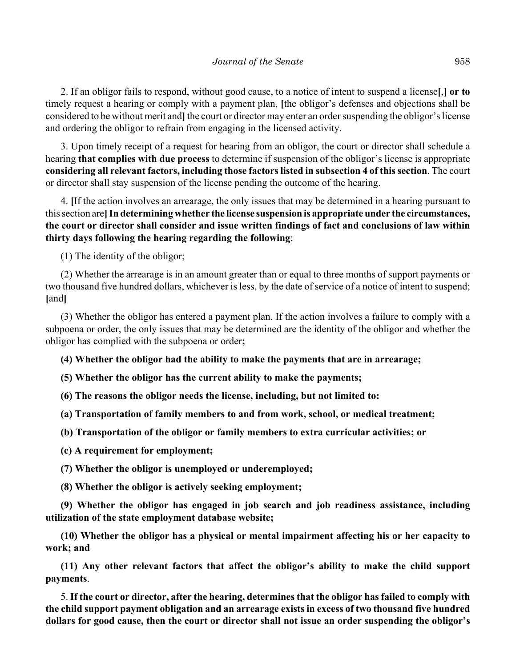2. If an obligor fails to respond, without good cause, to a notice of intent to suspend a license**[**,**] or to** timely request a hearing or comply with a payment plan, **[**the obligor's defenses and objections shall be considered to be without merit and**]** the court or director may enter an order suspending the obligor's license and ordering the obligor to refrain from engaging in the licensed activity.

3. Upon timely receipt of a request for hearing from an obligor, the court or director shall schedule a hearing **that complies with due process** to determine if suspension of the obligor's license is appropriate **considering all relevant factors, including those factors listed in subsection 4 of this section**. The court or director shall stay suspension of the license pending the outcome of the hearing.

4. **[**If the action involves an arrearage, the only issues that may be determined in a hearing pursuant to this section are**]In determining whether the license suspension is appropriate under the circumstances, the court or director shall consider and issue written findings of fact and conclusions of law within thirty days following the hearing regarding the following**:

(1) The identity of the obligor;

(2) Whether the arrearage is in an amount greater than or equal to three months of support payments or two thousand five hundred dollars, whichever is less, by the date of service of a notice of intent to suspend; **[**and**]**

(3) Whether the obligor has entered a payment plan. If the action involves a failure to comply with a subpoena or order, the only issues that may be determined are the identity of the obligor and whether the obligor has complied with the subpoena or order**;**

**(4) Whether the obligor had the ability to make the payments that are in arrearage;**

**(5) Whether the obligor has the current ability to make the payments;**

**(6) The reasons the obligor needs the license, including, but not limited to:**

**(a) Transportation of family members to and from work, school, or medical treatment;**

**(b) Transportation of the obligor or family members to extra curricular activities; or**

**(c) A requirement for employment;**

**(7) Whether the obligor is unemployed or underemployed;**

**(8) Whether the obligor is actively seeking employment;**

**(9) Whether the obligor has engaged in job search and job readiness assistance, including utilization of the state employment database website;**

**(10) Whether the obligor has a physical or mental impairment affecting his or her capacity to work; and**

**(11) Any other relevant factors that affect the obligor's ability to make the child support payments**.

5. **If the court or director, after the hearing, determines that the obligor has failed to comply with the child support payment obligation and an arrearage exists in excess of two thousand five hundred dollars for good cause, then the court or director shall not issue an order suspending the obligor's**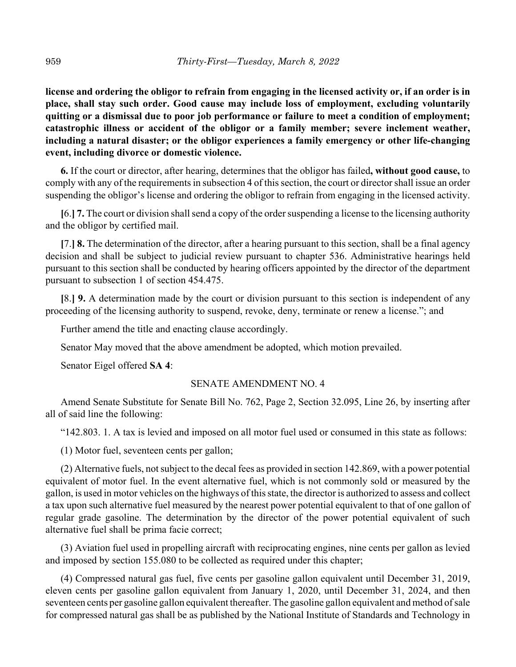**license and ordering the obligor to refrain from engaging in the licensed activity or, if an order is in place, shall stay such order. Good cause may include loss of employment, excluding voluntarily quitting or a dismissal due to poor job performance or failure to meet a condition of employment; catastrophic illness or accident of the obligor or a family member; severe inclement weather, including a natural disaster; or the obligor experiences a family emergency or other life-changing event, including divorce or domestic violence.**

**6.** If the court or director, after hearing, determines that the obligor has failed**, without good cause,** to comply with any of the requirements in subsection 4 of this section, the court or director shall issue an order suspending the obligor's license and ordering the obligor to refrain from engaging in the licensed activity.

**[**6.**] 7.** The court or division shall send a copy of the order suspending a license to the licensing authority and the obligor by certified mail.

**[**7.**] 8.** The determination of the director, after a hearing pursuant to this section, shall be a final agency decision and shall be subject to judicial review pursuant to chapter 536. Administrative hearings held pursuant to this section shall be conducted by hearing officers appointed by the director of the department pursuant to subsection 1 of section 454.475.

**[**8.**] 9.** A determination made by the court or division pursuant to this section is independent of any proceeding of the licensing authority to suspend, revoke, deny, terminate or renew a license."; and

Further amend the title and enacting clause accordingly.

Senator May moved that the above amendment be adopted, which motion prevailed.

Senator Eigel offered **SA 4**:

#### SENATE AMENDMENT NO. 4

Amend Senate Substitute for Senate Bill No. 762, Page 2, Section 32.095, Line 26, by inserting after all of said line the following:

"142.803. 1. A tax is levied and imposed on all motor fuel used or consumed in this state as follows:

(1) Motor fuel, seventeen cents per gallon;

(2) Alternative fuels, not subject to the decal fees as provided in section 142.869, with a power potential equivalent of motor fuel. In the event alternative fuel, which is not commonly sold or measured by the gallon, is used in motor vehicles on the highways of this state, the director is authorized to assess and collect a tax upon such alternative fuel measured by the nearest power potential equivalent to that of one gallon of regular grade gasoline. The determination by the director of the power potential equivalent of such alternative fuel shall be prima facie correct;

(3) Aviation fuel used in propelling aircraft with reciprocating engines, nine cents per gallon as levied and imposed by section 155.080 to be collected as required under this chapter;

(4) Compressed natural gas fuel, five cents per gasoline gallon equivalent until December 31, 2019, eleven cents per gasoline gallon equivalent from January 1, 2020, until December 31, 2024, and then seventeen cents per gasoline gallon equivalent thereafter. The gasoline gallon equivalent and method of sale for compressed natural gas shall be as published by the National Institute of Standards and Technology in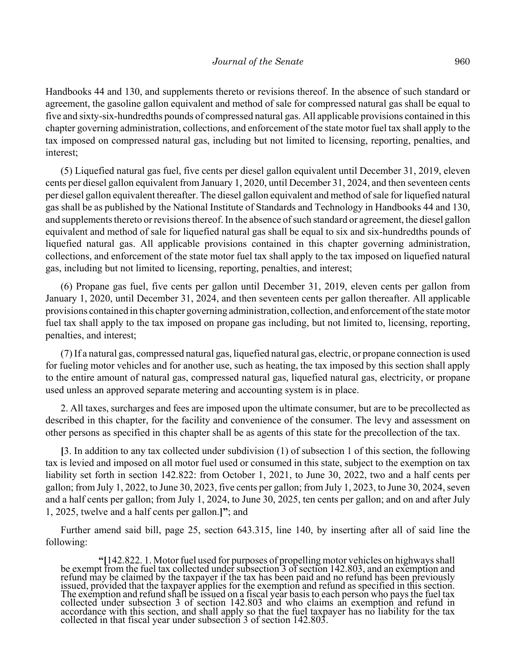Handbooks 44 and 130, and supplements thereto or revisions thereof. In the absence of such standard or agreement, the gasoline gallon equivalent and method of sale for compressed natural gas shall be equal to five and sixty-six-hundredths pounds of compressed natural gas. All applicable provisions contained in this chapter governing administration, collections, and enforcement of the state motor fuel tax shall apply to the tax imposed on compressed natural gas, including but not limited to licensing, reporting, penalties, and interest;

(5) Liquefied natural gas fuel, five cents per diesel gallon equivalent until December 31, 2019, eleven cents per diesel gallon equivalent from January 1, 2020, until December 31, 2024, and then seventeen cents per diesel gallon equivalent thereafter. The diesel gallon equivalent and method of sale for liquefied natural gas shall be as published by the National Institute of Standards and Technology in Handbooks 44 and 130, and supplements thereto or revisions thereof. In the absence of such standard or agreement, the diesel gallon equivalent and method of sale for liquefied natural gas shall be equal to six and six-hundredths pounds of liquefied natural gas. All applicable provisions contained in this chapter governing administration, collections, and enforcement of the state motor fuel tax shall apply to the tax imposed on liquefied natural gas, including but not limited to licensing, reporting, penalties, and interest;

(6) Propane gas fuel, five cents per gallon until December 31, 2019, eleven cents per gallon from January 1, 2020, until December 31, 2024, and then seventeen cents per gallon thereafter. All applicable provisions contained in this chapter governing administration, collection, and enforcement of the state motor fuel tax shall apply to the tax imposed on propane gas including, but not limited to, licensing, reporting, penalties, and interest;

(7) If a natural gas, compressed natural gas, liquefied natural gas, electric, or propane connection is used for fueling motor vehicles and for another use, such as heating, the tax imposed by this section shall apply to the entire amount of natural gas, compressed natural gas, liquefied natural gas, electricity, or propane used unless an approved separate metering and accounting system is in place.

2. All taxes, surcharges and fees are imposed upon the ultimate consumer, but are to be precollected as described in this chapter, for the facility and convenience of the consumer. The levy and assessment on other persons as specified in this chapter shall be as agents of this state for the precollection of the tax.

**[**3. In addition to any tax collected under subdivision (1) of subsection 1 of this section, the following tax is levied and imposed on all motor fuel used or consumed in this state, subject to the exemption on tax liability set forth in section 142.822: from October 1, 2021, to June 30, 2022, two and a half cents per gallon; from July 1, 2022, to June 30, 2023, five cents per gallon; from July 1, 2023, to June 30, 2024, seven and a half cents per gallon; from July 1, 2024, to June 30, 2025, ten cents per gallon; and on and after July 1, 2025, twelve and a half cents per gallon.**]"**; and

Further amend said bill, page 25, section 643.315, line 140, by inserting after all of said line the following:

<sup>&</sup>quot;[142.822. 1. Motor fuel used for purposes of propelling motor vehicles on highways shall<br>be exempt from the fuel tax collected under subsection 3 of section 142.803, and an exemption and<br>refund may be claimed by the taxp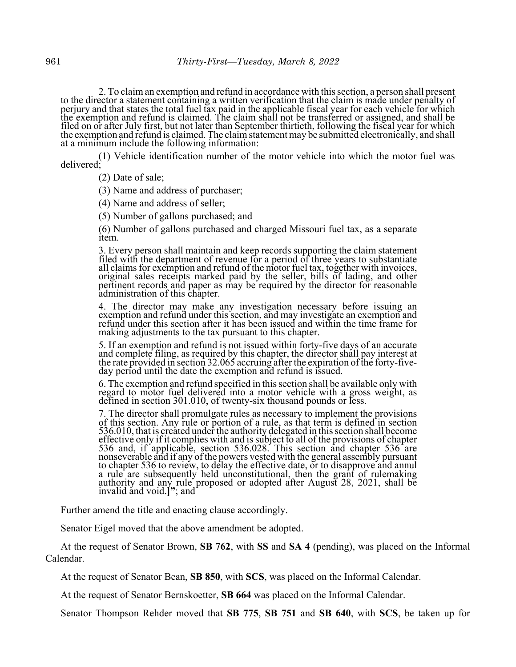2. To claim an exemption and refund in accordance with this section, a person shall present<br>to the director a statement containing a written verification that the claim is made under penalty of<br>perjury and that states the

(1) Vehicle identification number of the motor vehicle into which the motor fuel was delivered;

(2) Date of sale;

(3) Name and address of purchaser;

(4) Name and address of seller;

(5) Number of gallons purchased; and

(6) Number of gallons purchased and charged Missouri fuel tax, as a separate item.

3. Every person shall maintain and keep records supporting the claim statement filed with the department of revenue for a period of three years to substantiate all claims for exemption and refund of the motor fuel tax, together with invoices, original sales receipts marked paid by the seller, bills of lading, and other pertinent records and paper as may be required by the directo administration of this chapter.

4. The director may make any investigation necessary before issuing an exemption and refund under this section, and may investigate an exemption and refund under this section after it has been issued and within the time fr making adjustments to the tax pursuant to this chapter.

5. If an exemption and refund is not issued within forty-five days of an accurate and complete filing, as required by this chapter, the director shall pay interest at the rate provided in section 32.065 accruing after the

6. The exemption and refund specified in this section shall be available only with regard to motor fuel delivered into a motor vehicle with a gross weight, as defined in section 301.010, of twenty-six thousand pounds or le

7. The director shall promulgate rules as necessary to implement the provisions of this section. Any rule or portion of a rule, as that term is defined in section 536.010, that is created under the authority delegated in this section shall become effective only if it complies with and is subject to all of the provisions of chapter 536 and, if applicable, section 536.028. This section and chapter 536 are nonseverable and if any of the powers vested with the general assembly pursuant<br>to chapter 536 to review, to delay the effective date, or to disapprove and annul<br>a rule are subsequently held unconstitutional, then the gran

Further amend the title and enacting clause accordingly.

Senator Eigel moved that the above amendment be adopted.

At the request of Senator Brown, **SB 762**, with **SS** and **SA 4** (pending), was placed on the Informal Calendar.

At the request of Senator Bean, **SB 850**, with **SCS**, was placed on the Informal Calendar.

At the request of Senator Bernskoetter, **SB 664** was placed on the Informal Calendar.

Senator Thompson Rehder moved that **SB 775**, **SB 751** and **SB 640**, with **SCS**, be taken up for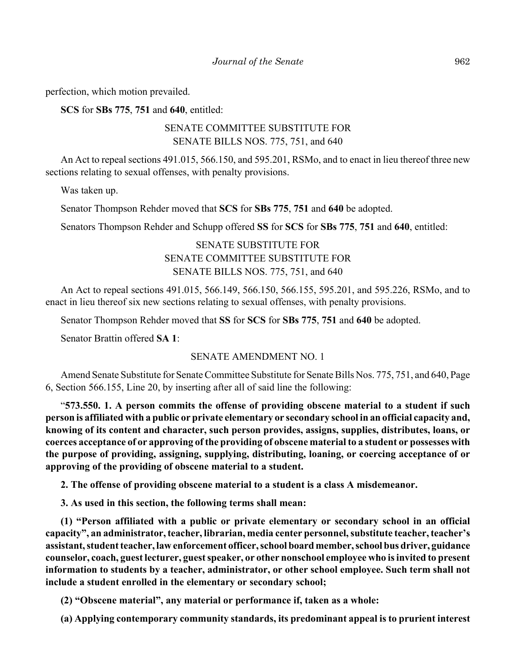perfection, which motion prevailed.

**SCS** for **SBs 775**, **751** and **640**, entitled:

# SENATE COMMITTEE SUBSTITUTE FOR SENATE BILLS NOS. 775, 751, and 640

An Act to repeal sections 491.015, 566.150, and 595.201, RSMo, and to enact in lieu thereof three new sections relating to sexual offenses, with penalty provisions.

Was taken up.

Senator Thompson Rehder moved that **SCS** for **SBs 775**, **751** and **640** be adopted.

Senators Thompson Rehder and Schupp offered **SS** for **SCS** for **SBs 775**, **751** and **640**, entitled:

# SENATE SUBSTITUTE FOR SENATE COMMITTEE SUBSTITUTE FOR SENATE BILLS NOS. 775, 751, and 640

An Act to repeal sections 491.015, 566.149, 566.150, 566.155, 595.201, and 595.226, RSMo, and to enact in lieu thereof six new sections relating to sexual offenses, with penalty provisions.

Senator Thompson Rehder moved that **SS** for **SCS** for **SBs 775**, **751** and **640** be adopted.

Senator Brattin offered **SA 1**:

#### SENATE AMENDMENT NO. 1

Amend Senate Substitute for Senate Committee Substitute for Senate Bills Nos. 775, 751, and 640, Page 6, Section 566.155, Line 20, by inserting after all of said line the following:

"**573.550. 1. A person commits the offense of providing obscene material to a student if such person is affiliated with a public or private elementary or secondary school in an official capacity and, knowing of its content and character, such person provides, assigns, supplies, distributes, loans, or coerces acceptance of or approving of the providing of obscene material to a student or possesses with the purpose of providing, assigning, supplying, distributing, loaning, or coercing acceptance of or approving of the providing of obscene material to a student.**

**2. The offense of providing obscene material to a student is a class A misdemeanor.**

**3. As used in this section, the following terms shall mean:**

**(1) "Person affiliated with a public or private elementary or secondary school in an official capacity", an administrator, teacher, librarian, media center personnel, substitute teacher, teacher's assistant, student teacher, law enforcement officer, school board member, school bus driver, guidance counselor, coach, guest lecturer, guest speaker, or other nonschool employee who is invited to present information to students by a teacher, administrator, or other school employee. Such term shall not include a student enrolled in the elementary or secondary school;**

**(2) "Obscene material", any material or performance if, taken as a whole:**

**(a) Applying contemporary community standards, its predominant appeal is to prurient interest**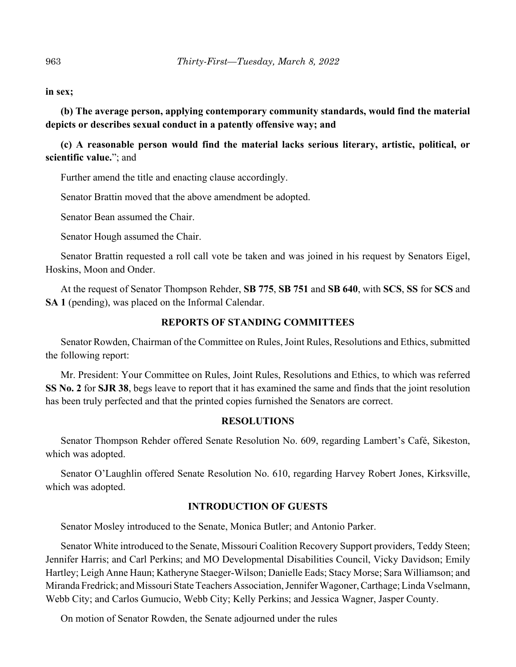#### **in sex;**

**(b) The average person, applying contemporary community standards, would find the material depicts or describes sexual conduct in a patently offensive way; and**

**(c) A reasonable person would find the material lacks serious literary, artistic, political, or scientific value.**"; and

Further amend the title and enacting clause accordingly.

Senator Brattin moved that the above amendment be adopted.

Senator Bean assumed the Chair.

Senator Hough assumed the Chair.

Senator Brattin requested a roll call vote be taken and was joined in his request by Senators Eigel, Hoskins, Moon and Onder.

At the request of Senator Thompson Rehder, **SB 775**, **SB 751** and **SB 640**, with **SCS**, **SS** for **SCS** and **SA 1** (pending), was placed on the Informal Calendar.

#### **REPORTS OF STANDING COMMITTEES**

Senator Rowden, Chairman of the Committee on Rules, Joint Rules, Resolutions and Ethics, submitted the following report:

Mr. President: Your Committee on Rules, Joint Rules, Resolutions and Ethics, to which was referred **SS No. 2** for **SJR 38**, begs leave to report that it has examined the same and finds that the joint resolution has been truly perfected and that the printed copies furnished the Senators are correct.

#### **RESOLUTIONS**

Senator Thompson Rehder offered Senate Resolution No. 609, regarding Lambert's Café, Sikeston, which was adopted.

Senator O'Laughlin offered Senate Resolution No. 610, regarding Harvey Robert Jones, Kirksville, which was adopted.

# **INTRODUCTION OF GUESTS**

Senator Mosley introduced to the Senate, Monica Butler; and Antonio Parker.

Senator White introduced to the Senate, Missouri Coalition Recovery Support providers, Teddy Steen; Jennifer Harris; and Carl Perkins; and MO Developmental Disabilities Council, Vicky Davidson; Emily Hartley; Leigh Anne Haun; Katheryne Staeger-Wilson; Danielle Eads; Stacy Morse; Sara Williamson; and Miranda Fredrick; and Missouri State Teachers Association, Jennifer Wagoner, Carthage; Linda Vselmann, Webb City; and Carlos Gumucio, Webb City; Kelly Perkins; and Jessica Wagner, Jasper County.

On motion of Senator Rowden, the Senate adjourned under the rules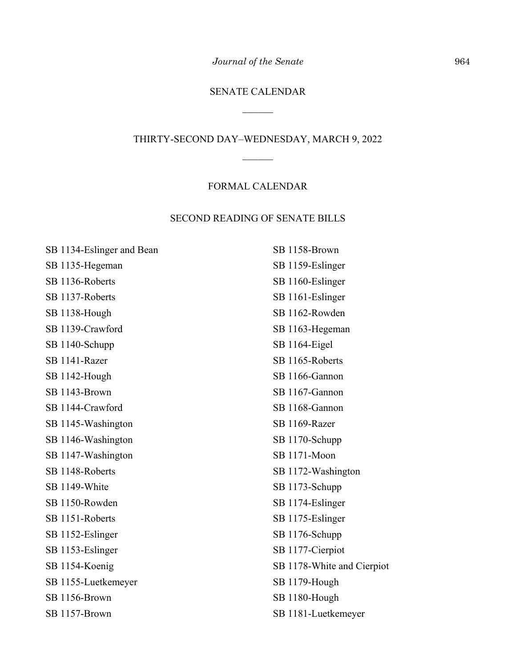*Journal of the Senate* 964

# SENATE CALENDAR

 $\frac{1}{2}$ 

# THIRTY-SECOND DAY–WEDNESDAY, MARCH 9, 2022

 $\overline{\phantom{a}}$ 

# FORMAL CALENDAR

# SECOND READING OF SENATE BILLS

| SB 1134-Eslinger and Bean | SB 1158-Brown              |
|---------------------------|----------------------------|
| SB 1135-Hegeman           | SB 1159-Eslinger           |
| SB 1136-Roberts           | SB 1160-Eslinger           |
| SB 1137-Roberts           | SB 1161-Eslinger           |
| SB 1138-Hough             | SB 1162-Rowden             |
| SB 1139-Crawford          | SB 1163-Hegeman            |
| SB 1140-Schupp            | SB 1164-Eigel              |
| SB 1141-Razer             | SB 1165-Roberts            |
| SB 1142-Hough             | SB 1166-Gannon             |
| SB 1143-Brown             | SB 1167-Gannon             |
| SB 1144-Crawford          | SB 1168-Gannon             |
| SB 1145-Washington        | SB 1169-Razer              |
| SB 1146-Washington        | SB 1170-Schupp             |
| SB 1147-Washington        | SB 1171-Moon               |
| SB 1148-Roberts           | SB 1172-Washington         |
| SB 1149-White             | SB 1173-Schupp             |
| SB 1150-Rowden            | SB 1174-Eslinger           |
| SB 1151-Roberts           | SB 1175-Eslinger           |
| SB 1152-Eslinger          | SB 1176-Schupp             |
| SB 1153-Eslinger          | SB 1177-Cierpiot           |
| SB 1154-Koenig            | SB 1178-White and Cierpiot |
| SB 1155-Luetkemeyer       | SB 1179-Hough              |
| SB 1156-Brown             | SB 1180-Hough              |
| SB 1157-Brown             | SB 1181-Luetkemeyer        |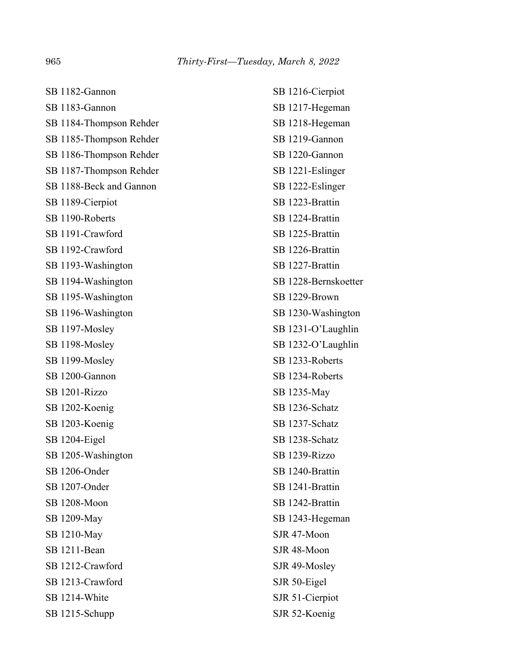| SB 1216-Cierpiot     |
|----------------------|
| SB 1217-Hegeman      |
| SB 1218-Hegeman      |
| SB 1219-Gannon       |
| SB 1220-Gannon       |
| SB 1221-Eslinger     |
| SB 1222-Eslinger     |
| SB 1223-Brattin      |
| SB 1224-Brattin      |
| SB 1225-Brattin      |
| SB 1226-Brattin      |
| SB 1227-Brattin      |
| SB 1228-Bernskoetter |
| SB 1229-Brown        |
| SB 1230-Washington   |
| SB 1231-O'Laughlin   |
| SB 1232-O'Laughlin   |
| SB 1233-Roberts      |
| SB 1234-Roberts      |
| SB 1235-May          |
| SB 1236-Schatz       |
| SB 1237-Schatz       |
| SB 1238-Schatz       |
| SB 1239-Rizzo        |
| SB 1240-Brattin      |
| SB 1241-Brattin      |
| SB 1242-Brattin      |
| SB 1243-Hegeman      |
| SJR 47-Moon          |
| SJR 48-Moon          |
| SJR 49-Mosley        |
| SJR 50-Eigel         |
| SJR 51-Cierpiot      |
| SJR 52-Koenig        |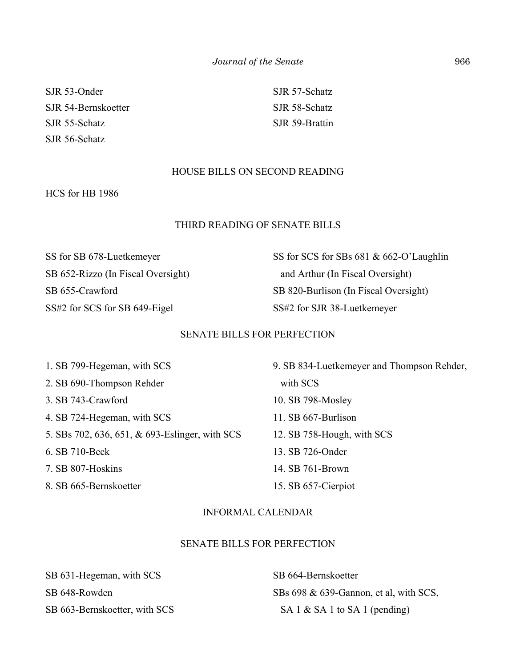SJR 53-Onder SJR 54-Bernskoetter SJR 55-Schatz SJR 56-Schatz

SJR 57-Schatz SJR 58-Schatz SJR 59-Brattin

# HOUSE BILLS ON SECOND READING

HCS for HB 1986

#### THIRD READING OF SENATE BILLS

SS for SB 678-Luetkemeyer SB 652-Rizzo (In Fiscal Oversight) SB 655-Crawford SS#2 for SCS for SB 649-Eigel

SS for SCS for SBs 681 & 662-O'Laughlin and Arthur (In Fiscal Oversight) SB 820-Burlison (In Fiscal Oversight) SS#2 for SJR 38-Luetkemeyer

## SENATE BILLS FOR PERFECTION

1. SB 799-Hegeman, with SCS 2. SB 690-Thompson Rehder 3. SB 743-Crawford 4. SB 724-Hegeman, with SCS 5. SBs 702, 636, 651, & 693-Eslinger, with SCS 6. SB 710-Beck 7. SB 807-Hoskins

8. SB 665-Bernskoetter

9. SB 834-Luetkemeyer and Thompson Rehder, with SCS 10. SB 798-Mosley 11. SB 667-Burlison 12. SB 758-Hough, with SCS 13. SB 726-Onder 14. SB 761-Brown 15. SB 657-Cierpiot

#### INFORMAL CALENDAR

#### SENATE BILLS FOR PERFECTION

| SB 631-Hegeman, with SCS      |
|-------------------------------|
| SB 648-Rowden                 |
| SB 663-Bernskoetter, with SCS |

SB 664-Bernskoetter SBs 698 & 639-Gannon, et al, with SCS, SA 1 & SA 1 to SA 1 (pending)